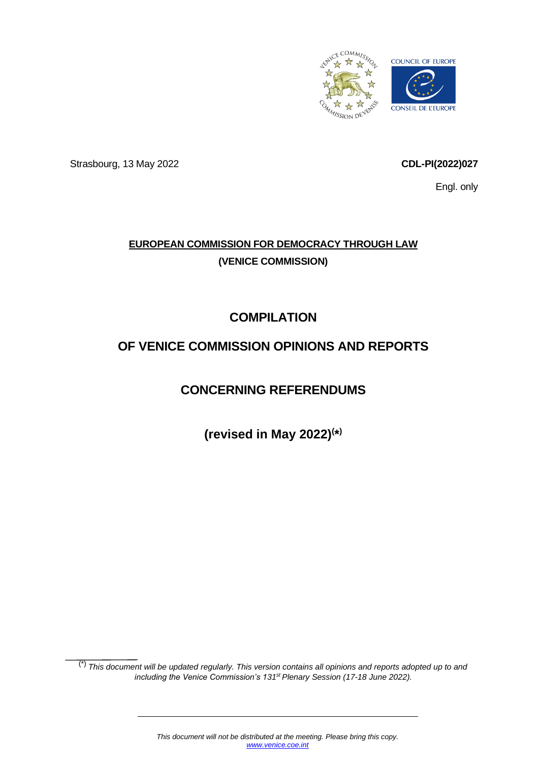

Strasbourg, 13 May 2022 **CDL-PI(2022)027**

Engl. only

# **EUROPEAN COMMISSION FOR DEMOCRACY THROUGH LAW (VENICE COMMISSION)**

# **COMPILATION**

# **OF VENICE COMMISSION OPINIONS AND REPORTS**

# **CONCERNING REFERENDUMS**

**(revised in May 2022)( \* )**

(\*) *This document will be updated regularly. This version contains all opinions and reports adopted up to and including the Venice Commission's 131st Plenary Session (17-18 June 2022).*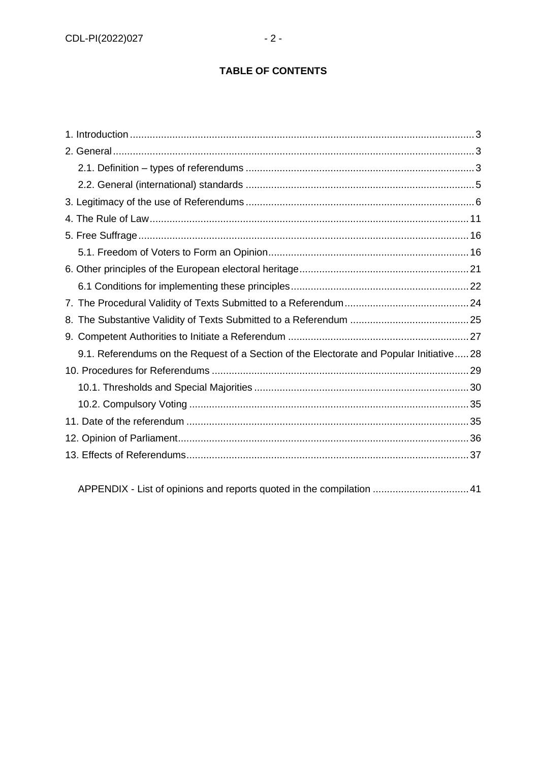# **TABLE OF CONTENTS**

APPENDIX - [List of opinions and reports quoted in the compilation](#page-40-0) ..................................41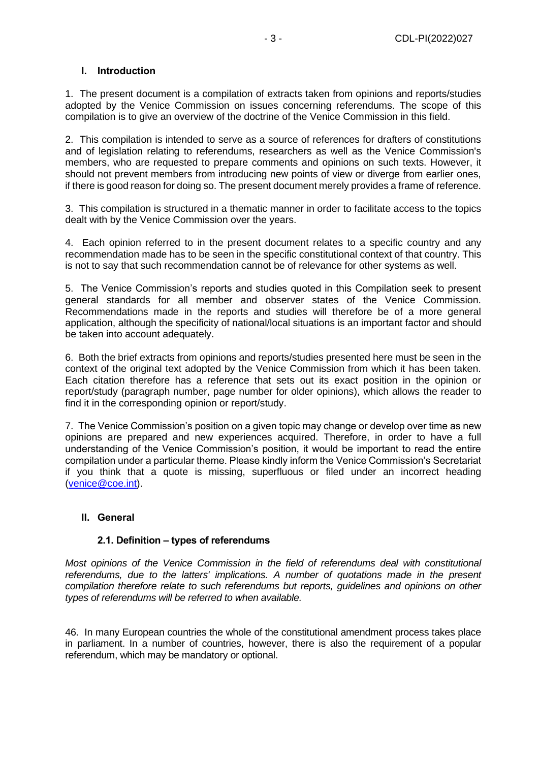## <span id="page-2-0"></span>**I. Introduction**

1. The present document is a compilation of extracts taken from opinions and reports/studies adopted by the Venice Commission on issues concerning referendums. The scope of this compilation is to give an overview of the doctrine of the Venice Commission in this field.

2. This compilation is intended to serve as a source of references for drafters of constitutions and of legislation relating to referendums, researchers as well as the Venice Commission's members, who are requested to prepare comments and opinions on such texts. However, it should not prevent members from introducing new points of view or diverge from earlier ones, if there is good reason for doing so. The present document merely provides a frame of reference.

3. This compilation is structured in a thematic manner in order to facilitate access to the topics dealt with by the Venice Commission over the years.

4. Each opinion referred to in the present document relates to a specific country and any recommendation made has to be seen in the specific constitutional context of that country. This is not to say that such recommendation cannot be of relevance for other systems as well.

5. The Venice Commission's reports and studies quoted in this Compilation seek to present general standards for all member and observer states of the Venice Commission. Recommendations made in the reports and studies will therefore be of a more general application, although the specificity of national/local situations is an important factor and should be taken into account adequately.

6. Both the brief extracts from opinions and reports/studies presented here must be seen in the context of the original text adopted by the Venice Commission from which it has been taken. Each citation therefore has a reference that sets out its exact position in the opinion or report/study (paragraph number, page number for older opinions), which allows the reader to find it in the corresponding opinion or report/study.

7. The Venice Commission's position on a given topic may change or develop over time as new opinions are prepared and new experiences acquired. Therefore, in order to have a full understanding of the Venice Commission's position, it would be important to read the entire compilation under a particular theme. Please kindly inform the Venice Commission's Secretariat if you think that a quote is missing, superfluous or filed under an incorrect heading [\(venice@coe.int\)](mailto:venice@coe.int).

#### <span id="page-2-1"></span>**II. General**

#### **2.1. Definition – types of referendums**

<span id="page-2-2"></span>*Most opinions of the Venice Commission in the field of referendums deal with constitutional referendums, due to the latters' implications. A number of quotations made in the present compilation therefore relate to such referendums but reports, guidelines and opinions on other types of referendums will be referred to when available.*

46. In many European countries the whole of the constitutional amendment process takes place in parliament. In a number of countries, however, there is also the requirement of a popular referendum, which may be mandatory or optional.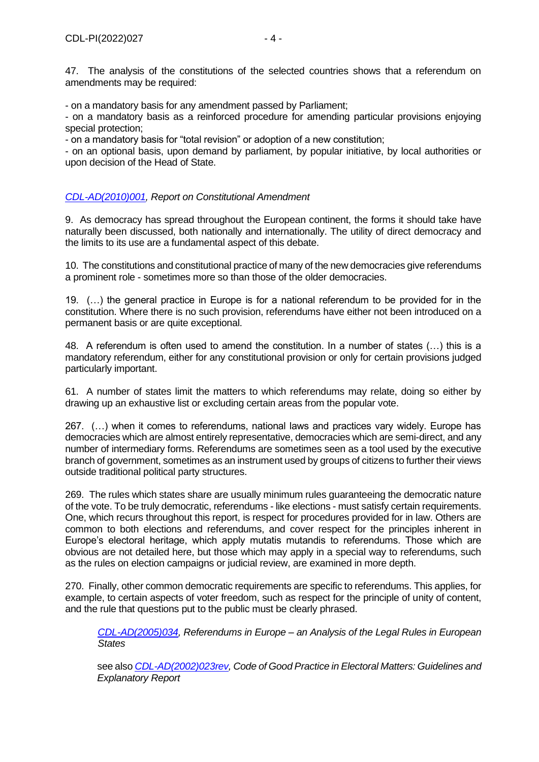47. The analysis of the constitutions of the selected countries shows that a referendum on amendments may be required:

- on a mandatory basis for any amendment passed by Parliament;

- on a mandatory basis as a reinforced procedure for amending particular provisions enjoying special protection;

- on a mandatory basis for "total revision" or adoption of a new constitution;

- on an optional basis, upon demand by parliament, by popular initiative, by local authorities or upon decision of the Head of State.

## *[CDL-AD\(2010\)001,](http://www.venice.coe.int/webforms/documents/?pdf=CDL-AD(2010)001-e) Report on Constitutional Amendment*

9. As democracy has spread throughout the European continent, the forms it should take have naturally been discussed, both nationally and internationally. The utility of direct democracy and the limits to its use are a fundamental aspect of this debate.

10. The constitutions and constitutional practice of many of the new democracies give referendums a prominent role - sometimes more so than those of the older democracies.

19. (…) the general practice in Europe is for a national referendum to be provided for in the constitution. Where there is no such provision, referendums have either not been introduced on a permanent basis or are quite exceptional.

48. A referendum is often used to amend the constitution. In a number of states (…) this is a mandatory referendum, either for any constitutional provision or only for certain provisions judged particularly important.

61. A number of states limit the matters to which referendums may relate, doing so either by drawing up an exhaustive list or excluding certain areas from the popular vote.

267. (…) when it comes to referendums, national laws and practices vary widely. Europe has democracies which are almost entirely representative, democracies which are semi-direct, and any number of intermediary forms. Referendums are sometimes seen as a tool used by the executive branch of government, sometimes as an instrument used by groups of citizens to further their views outside traditional political party structures.

269. The rules which states share are usually minimum rules guaranteeing the democratic nature of the vote. To be truly democratic, referendums - like elections - must satisfy certain requirements. One, which recurs throughout this report, is respect for procedures provided for in law. Others are common to both elections and referendums, and cover respect for the principles inherent in Europe's electoral heritage, which apply mutatis mutandis to referendums. Those which are obvious are not detailed here, but those which may apply in a special way to referendums, such as the rules on election campaigns or judicial review, are examined in more depth.

270. Finally, other common democratic requirements are specific to referendums. This applies, for example, to certain aspects of voter freedom, such as respect for the principle of unity of content, and the rule that questions put to the public must be clearly phrased.

*[CDL-AD\(2005\)034,](http://www.venice.coe.int/webforms/documents/?pdf=CDL-AD(2005)034-e) Referendums in Europe – an Analysis of the Legal Rules in European States*

see also *[CDL-AD\(2002\)023rev,](http://www.venice.coe.int/webforms/documents/CDL-AD(2002)023rev-e.aspx) Code of Good Practice in Electoral Matters: Guidelines and Explanatory Report*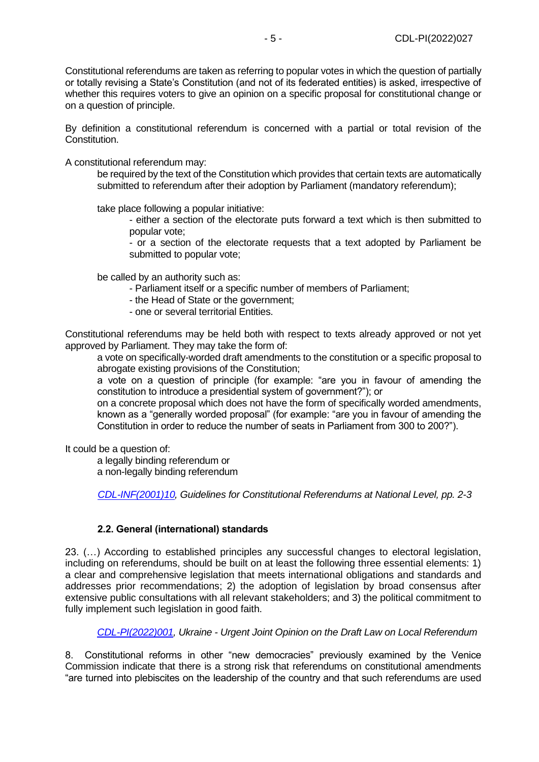Constitutional referendums are taken as referring to popular votes in which the question of partially or totally revising a State's Constitution (and not of its federated entities) is asked, irrespective of whether this requires voters to give an opinion on a specific proposal for constitutional change or on a question of principle.

By definition a constitutional referendum is concerned with a partial or total revision of the Constitution.

A constitutional referendum may:

be required by the text of the Constitution which provides that certain texts are automatically submitted to referendum after their adoption by Parliament (mandatory referendum);

take place following a popular initiative:

- either a section of the electorate puts forward a text which is then submitted to popular vote;

- or a section of the electorate requests that a text adopted by Parliament be submitted to popular vote;

be called by an authority such as:

- Parliament itself or a specific number of members of Parliament;
- the Head of State or the government;
- one or several territorial Entities.

Constitutional referendums may be held both with respect to texts already approved or not yet approved by Parliament. They may take the form of:

a vote on specifically-worded draft amendments to the constitution or a specific proposal to abrogate existing provisions of the Constitution;

a vote on a question of principle (for example: "are you in favour of amending the constitution to introduce a presidential system of government?"); or

on a concrete proposal which does not have the form of specifically worded amendments, known as a "generally worded proposal" (for example: "are you in favour of amending the Constitution in order to reduce the number of seats in Parliament from 300 to 200?").

It could be a question of:

a legally binding referendum or a non-legally binding referendum

*[CDL-INF\(2001\)10,](http://www.venice.coe.int/webforms/documents/CDL-INF(2001)010-e.aspx) Guidelines for Constitutional Referendums at National Level, pp. 2-3*

## **2.2. General (international) standards**

<span id="page-4-0"></span>23. (…) According to established principles any successful changes to electoral legislation, including on referendums, should be built on at least the following three essential elements: 1) a clear and comprehensive legislation that meets international obligations and standards and addresses prior recommendations; 2) the adoption of legislation by broad consensus after extensive public consultations with all relevant stakeholders; and 3) the political commitment to fully implement such legislation in good faith.

*[CDL-PI\(2022\)001,](https://www.venice.coe.int/webforms/documents/default.aspx?pdffile=CDL-PI(2022)001-e) Ukraine - Urgent Joint Opinion on the Draft Law on Local Referendum*

8. Constitutional reforms in other "new democracies" previously examined by the Venice Commission indicate that there is a strong risk that referendums on constitutional amendments "are turned into plebiscites on the leadership of the country and that such referendums are used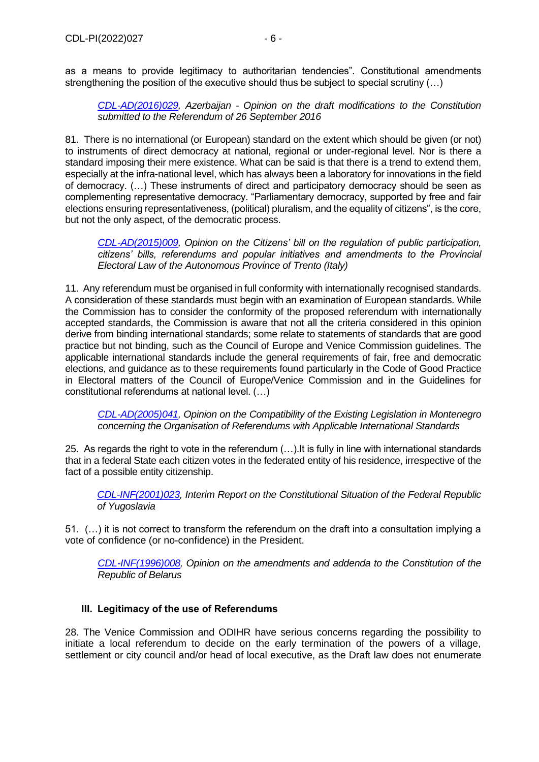as a means to provide legitimacy to authoritarian tendencies". Constitutional amendments strengthening the position of the executive should thus be subject to special scrutiny (...)

*[CDL-AD\(2016\)029,](http://venice.coe.int/webforms/documents/?pdf=CDL-AD(2016)029-e) Azerbaijan - Opinion on the draft modifications to the Constitution submitted to the Referendum of 26 September 2016*

81. There is no international (or European) standard on the extent which should be given (or not) to instruments of direct democracy at national, regional or under-regional level. Nor is there a standard imposing their mere existence. What can be said is that there is a trend to extend them, especially at the infra-national level, which has always been a laboratory for innovations in the field of democracy. (…) These instruments of direct and participatory democracy should be seen as complementing representative democracy. "Parliamentary democracy, supported by free and fair elections ensuring representativeness, (political) pluralism, and the equality of citizens", is the core, but not the only aspect, of the democratic process.

*[CDL-AD\(2015\)009,](http://www.venice.coe.int/webforms/documents/?pdf=CDL-AD(2015)009-e) Opinion on the Citizens' bill on the regulation of public participation, citizens' bills, referendums and popular initiatives and amendments to the Provincial Electoral Law of the Autonomous Province of Trento (Italy)*

11. Any referendum must be organised in full conformity with internationally recognised standards. A consideration of these standards must begin with an examination of European standards. While the Commission has to consider the conformity of the proposed referendum with internationally accepted standards, the Commission is aware that not all the criteria considered in this opinion derive from binding international standards; some relate to statements of standards that are good practice but not binding, such as the Council of Europe and Venice Commission guidelines. The applicable international standards include the general requirements of fair, free and democratic elections, and guidance as to these requirements found particularly in the Code of Good Practice in Electoral matters of the Council of Europe/Venice Commission and in the Guidelines for constitutional referendums at national level. (…)

*[CDL-AD\(2005\)041,](http://www.venice.coe.int/webforms/documents/CDL-AD(2005)041-e.aspx) Opinion on the Compatibility of the Existing Legislation in Montenegro concerning the Organisation of Referendums with Applicable International Standards*

25. As regards the right to vote in the referendum (…).It is fully in line with international standards that in a federal State each citizen votes in the federated entity of his residence, irrespective of the fact of a possible entity citizenship.

*[CDL-INF\(2001\)023,](http://www.venice.coe.int/webforms/documents/default.aspx?pdffile=CDL-INF(2001)023-e) Interim Report on the Constitutional Situation of the Federal Republic of Yugoslavia*

51. (…) it is not correct to transform the referendum on the draft into a consultation implying a vote of confidence (or no-confidence) in the President.

*[CDL-INF\(1996\)008,](http://www.venice.coe.int/webforms/documents/default.aspx?pdffile=CDL-INF(1996)008-e) Opinion on the amendments and addenda to the Constitution of the Republic of Belarus*

## <span id="page-5-0"></span>**III. Legitimacy of the use of Referendums**

28. The Venice Commission and ODIHR have serious concerns regarding the possibility to initiate a local referendum to decide on the early termination of the powers of a village, settlement or city council and/or head of local executive, as the Draft law does not enumerate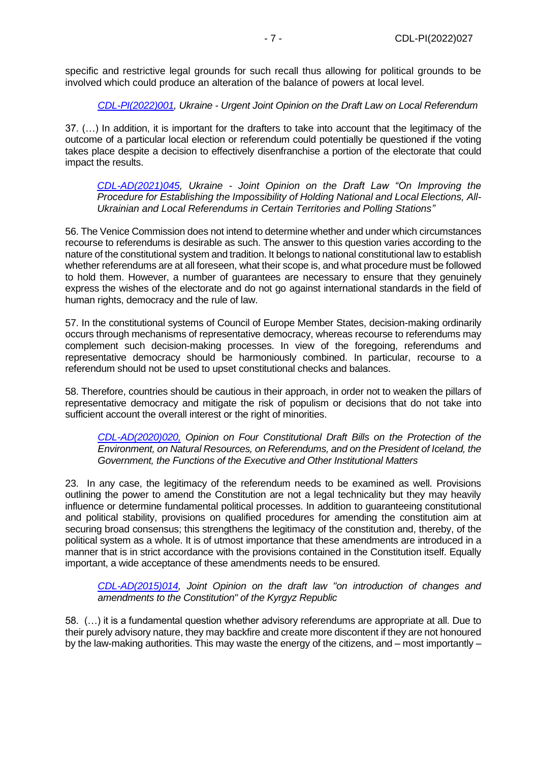specific and restrictive legal grounds for such recall thus allowing for political grounds to be involved which could produce an alteration of the balance of powers at local level.

*[CDL-PI\(2022\)001,](https://www.venice.coe.int/webforms/documents/default.aspx?pdffile=CDL-PI(2022)001-e) Ukraine - Urgent Joint Opinion on the Draft Law on Local Referendum*

37. (…) In addition, it is important for the drafters to take into account that the legitimacy of the outcome of a particular local election or referendum could potentially be questioned if the voting takes place despite a decision to effectively disenfranchise a portion of the electorate that could impact the results.

*[CDL-AD\(2021\)045,](https://www.venice.coe.int/webforms/documents/default.aspx?pdffile=CDL-AD(2021)045-e) Ukraine - Joint Opinion on the Draft Law "On Improving the Procedure for Establishing the Impossibility of Holding National and Local Elections, All-Ukrainian and Local Referendums in Certain Territories and Polling Stations"*

56. The Venice Commission does not intend to determine whether and under which circumstances recourse to referendums is desirable as such. The answer to this question varies according to the nature of the constitutional system and tradition. It belongs to national constitutional law to establish whether referendums are at all foreseen, what their scope is, and what procedure must be followed to hold them. However, a number of guarantees are necessary to ensure that they genuinely express the wishes of the electorate and do not go against international standards in the field of human rights, democracy and the rule of law.

57. In the constitutional systems of Council of Europe Member States, decision-making ordinarily occurs through mechanisms of representative democracy, whereas recourse to referendums may complement such decision-making processes. In view of the foregoing, referendums and representative democracy should be harmoniously combined. In particular, recourse to a referendum should not be used to upset constitutional checks and balances.

58. Therefore, countries should be cautious in their approach, in order not to weaken the pillars of representative democracy and mitigate the risk of populism or decisions that do not take into sufficient account the overall interest or the right of minorities.

*[CDL-AD\(2020\)020,](https://www.venice.coe.int/webforms/documents/default.aspx?pdffile=CDL-AD(2020)020-e) Opinion on Four Constitutional Draft Bills on the Protection of the Environment, on Natural Resources, on Referendums, and on the President of Iceland, the Government, the Functions of the Executive and Other Institutional Matters*

23. In any case, the legitimacy of the referendum needs to be examined as well. Provisions outlining the power to amend the Constitution are not a legal technicality but they may heavily influence or determine fundamental political processes. In addition to guaranteeing constitutional and political stability, provisions on qualified procedures for amending the constitution aim at securing broad consensus; this strengthens the legitimacy of the constitution and, thereby, of the political system as a whole. It is of utmost importance that these amendments are introduced in a manner that is in strict accordance with the provisions contained in the Constitution itself. Equally important, a wide acceptance of these amendments needs to be ensured.

*[CDL-AD\(2015\)014,](http://www.venice.coe.int/webforms/documents/?pdf=CDL-AD(2015)014-e) Joint Opinion on the draft law "on introduction of changes and amendments to the Constitution" of the Kyrgyz Republic*

58. (…) it is a fundamental question whether advisory referendums are appropriate at all. Due to their purely advisory nature, they may backfire and create more discontent if they are not honoured by the law-making authorities. This may waste the energy of the citizens, and – most importantly –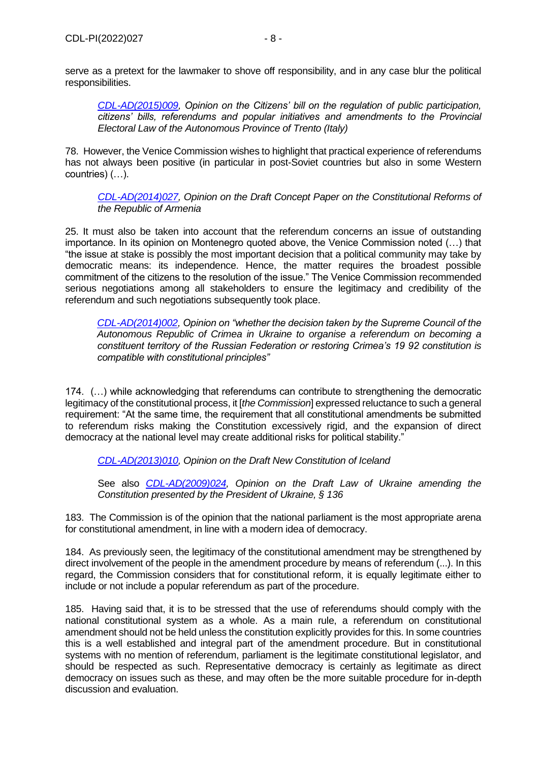*[CDL-AD\(2015\)009,](http://www.venice.coe.int/webforms/documents/?pdf=CDL-AD(2015)009-e) Opinion on the Citizens' bill on the regulation of public participation, citizens' bills, referendums and popular initiatives and amendments to the Provincial Electoral Law of the Autonomous Province of Trento (Italy)*

78. However, the Venice Commission wishes to highlight that practical experience of referendums has not always been positive (in particular in post-Soviet countries but also in some Western countries) (…).

*[CDL-AD\(2014\)027,](http://www.venice.coe.int/webforms/documents/?pdf=CDL-AD(2014)027-e) Opinion on the Draft Concept Paper on the Constitutional Reforms of the Republic of Armenia*

25. It must also be taken into account that the referendum concerns an issue of outstanding importance. In its opinion on Montenegro quoted above, the Venice Commission noted (…) that "the issue at stake is possibly the most important decision that a political community may take by democratic means: its independence. Hence, the matter requires the broadest possible commitment of the citizens to the resolution of the issue." The Venice Commission recommended serious negotiations among all stakeholders to ensure the legitimacy and credibility of the referendum and such negotiations subsequently took place.

*[CDL-AD\(2014\)002,](http://www.venice.coe.int/webforms/documents/default.aspx?pdffile=CDL-AD(2014)002-e) Opinion on "whether the decision taken by the Supreme Council of the Autonomous Republic of Crimea in Ukraine to organise a referendum on becoming a constituent territory of the Russian Federation or restoring Crimea's 19 92 constitution is compatible with constitutional principles"*

174. (…) while acknowledging that referendums can contribute to strengthening the democratic legitimacy of the constitutional process, it [*the Commission*] expressed reluctance to such a general requirement: "At the same time, the requirement that all constitutional amendments be submitted to referendum risks making the Constitution excessively rigid, and the expansion of direct democracy at the national level may create additional risks for political stability."

*[CDL-AD\(2013\)010,](http://www.venice.coe.int/webforms/documents/?pdf=CDL-AD(2013)010-e) Opinion on the Draft New Constitution of Iceland* 

See also *[CDL-AD\(2009\)024,](http://www.venice.coe.int/webforms/documents/?pdf=CDL-AD(2009)024-e) Opinion on the Draft Law of Ukraine amending the Constitution presented by the President of Ukraine, § 136*

183. The Commission is of the opinion that the national parliament is the most appropriate arena for constitutional amendment, in line with a modern idea of democracy.

184. As previously seen, the legitimacy of the constitutional amendment may be strengthened by direct involvement of the people in the amendment procedure by means of referendum (...). In this regard, the Commission considers that for constitutional reform, it is equally legitimate either to include or not include a popular referendum as part of the procedure.

185. Having said that, it is to be stressed that the use of referendums should comply with the national constitutional system as a whole. As a main rule, a referendum on constitutional amendment should not be held unless the constitution explicitly provides for this. In some countries this is a well established and integral part of the amendment procedure. But in constitutional systems with no mention of referendum, parliament is the legitimate constitutional legislator, and should be respected as such. Representative democracy is certainly as legitimate as direct democracy on issues such as these, and may often be the more suitable procedure for in-depth discussion and evaluation.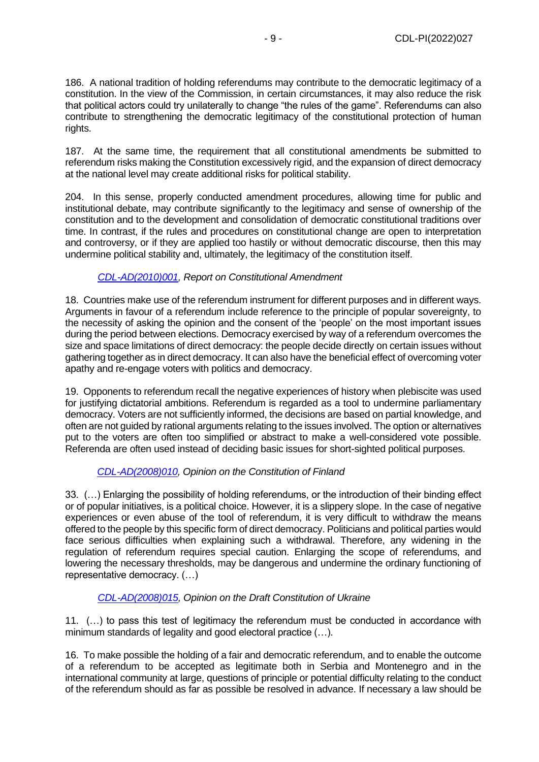186. A national tradition of holding referendums may contribute to the democratic legitimacy of a constitution. In the view of the Commission, in certain circumstances, it may also reduce the risk that political actors could try unilaterally to change "the rules of the game". Referendums can also contribute to strengthening the democratic legitimacy of the constitutional protection of human rights.

187. At the same time, the requirement that all constitutional amendments be submitted to referendum risks making the Constitution excessively rigid, and the expansion of direct democracy at the national level may create additional risks for political stability.

204. In this sense, properly conducted amendment procedures, allowing time for public and institutional debate, may contribute significantly to the legitimacy and sense of ownership of the constitution and to the development and consolidation of democratic constitutional traditions over time. In contrast, if the rules and procedures on constitutional change are open to interpretation and controversy, or if they are applied too hastily or without democratic discourse, then this may undermine political stability and, ultimately, the legitimacy of the constitution itself.

# *[CDL-AD\(2010\)001,](http://www.venice.coe.int/webforms/documents/?pdf=CDL-AD(2010)001-e) Report on Constitutional Amendment*

18. Countries make use of the referendum instrument for different purposes and in different ways. Arguments in favour of a referendum include reference to the principle of popular sovereignty, to the necessity of asking the opinion and the consent of the 'people' on the most important issues during the period between elections. Democracy exercised by way of a referendum overcomes the size and space limitations of direct democracy: the people decide directly on certain issues without gathering together as in direct democracy. It can also have the beneficial effect of overcoming voter apathy and re-engage voters with politics and democracy.

19. Opponents to referendum recall the negative experiences of history when plebiscite was used for justifying dictatorial ambitions. Referendum is regarded as a tool to undermine parliamentary democracy. Voters are not sufficiently informed, the decisions are based on partial knowledge, and often are not guided by rational arguments relating to the issues involved. The option or alternatives put to the voters are often too simplified or abstract to make a well-considered vote possible. Referenda are often used instead of deciding basic issues for short-sighted political purposes.

# *[CDL-AD\(2008\)010,](http://www.venice.coe.int/webforms/documents/?pdf=CDL-AD(2008)010-e) Opinion on the Constitution of Finland*

33. (…) Enlarging the possibility of holding referendums, or the introduction of their binding effect or of popular initiatives, is a political choice. However, it is a slippery slope. In the case of negative experiences or even abuse of the tool of referendum, it is very difficult to withdraw the means offered to the people by this specific form of direct democracy. Politicians and political parties would face serious difficulties when explaining such a withdrawal. Therefore, any widening in the regulation of referendum requires special caution. Enlarging the scope of referendums, and lowering the necessary thresholds, may be dangerous and undermine the ordinary functioning of representative democracy. (…)

# *[CDL-AD\(2008\)015,](http://www.venice.coe.int/webforms/documents/default.aspx?pdffile=CDL-AD(2008)015-e) Opinion on the Draft Constitution of Ukraine*

11. (…) to pass this test of legitimacy the referendum must be conducted in accordance with minimum standards of legality and good electoral practice (…).

16. To make possible the holding of a fair and democratic referendum, and to enable the outcome of a referendum to be accepted as legitimate both in Serbia and Montenegro and in the international community at large, questions of principle or potential difficulty relating to the conduct of the referendum should as far as possible be resolved in advance. If necessary a law should be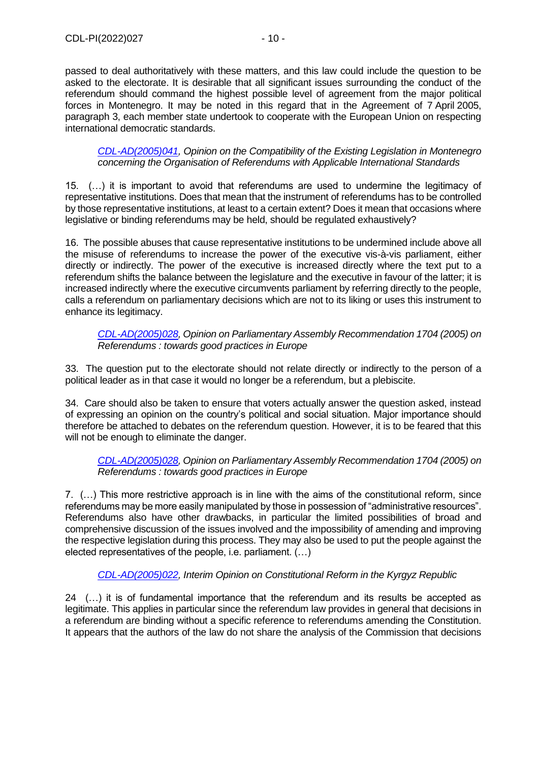passed to deal authoritatively with these matters, and this law could include the question to be asked to the electorate. It is desirable that all significant issues surrounding the conduct of the referendum should command the highest possible level of agreement from the major political forces in Montenegro. It may be noted in this regard that in the Agreement of 7 April 2005, paragraph 3, each member state undertook to cooperate with the European Union on respecting international democratic standards.

*[CDL-AD\(2005\)041,](http://www.venice.coe.int/webforms/documents/CDL-AD(2005)041-e.aspx) Opinion on the Compatibility of the Existing Legislation in Montenegro concerning the Organisation of Referendums with Applicable International Standards*

15. (…) it is important to avoid that referendums are used to undermine the legitimacy of representative institutions. Does that mean that the instrument of referendums has to be controlled by those representative institutions, at least to a certain extent? Does it mean that occasions where legislative or binding referendums may be held, should be regulated exhaustively?

16. The possible abuses that cause representative institutions to be undermined include above all the misuse of referendums to increase the power of the executive vis-à-vis parliament, either directly or indirectly. The power of the executive is increased directly where the text put to a referendum shifts the balance between the legislature and the executive in favour of the latter; it is increased indirectly where the executive circumvents parliament by referring directly to the people, calls a referendum on parliamentary decisions which are not to its liking or uses this instrument to enhance its legitimacy.

*[CDL-AD\(2005\)028,](http://www.venice.coe.int/webforms/documents/?pdf=CDL-AD(2005)028-e) Opinion on Parliamentary Assembly Recommendation 1704 (2005) on Referendums : towards good practices in Europe*

33. The question put to the electorate should not relate directly or indirectly to the person of a political leader as in that case it would no longer be a referendum, but a plebiscite.

34. Care should also be taken to ensure that voters actually answer the question asked, instead of expressing an opinion on the country's political and social situation. Major importance should therefore be attached to debates on the referendum question. However, it is to be feared that this will not be enough to eliminate the danger.

*[CDL-AD\(2005\)028,](http://www.venice.coe.int/webforms/documents/?pdf=CDL-AD(2005)028-e) Opinion on Parliamentary Assembly Recommendation 1704 (2005) on Referendums : towards good practices in Europe*

7. (…) This more restrictive approach is in line with the aims of the constitutional reform, since referendums may be more easily manipulated by those in possession of "administrative resources". Referendums also have other drawbacks, in particular the limited possibilities of broad and comprehensive discussion of the issues involved and the impossibility of amending and improving the respective legislation during this process. They may also be used to put the people against the elected representatives of the people, i.e. parliament. (…)

# *[CDL-AD\(2005\)022,](http://www.venice.coe.int/webforms/documents/default.aspx?pdffile=CDL-AD(2005)022-e) Interim Opinion on Constitutional Reform in the Kyrgyz Republic*

24 (…) it is of fundamental importance that the referendum and its results be accepted as legitimate. This applies in particular since the referendum law provides in general that decisions in a referendum are binding without a specific reference to referendums amending the Constitution. It appears that the authors of the law do not share the analysis of the Commission that decisions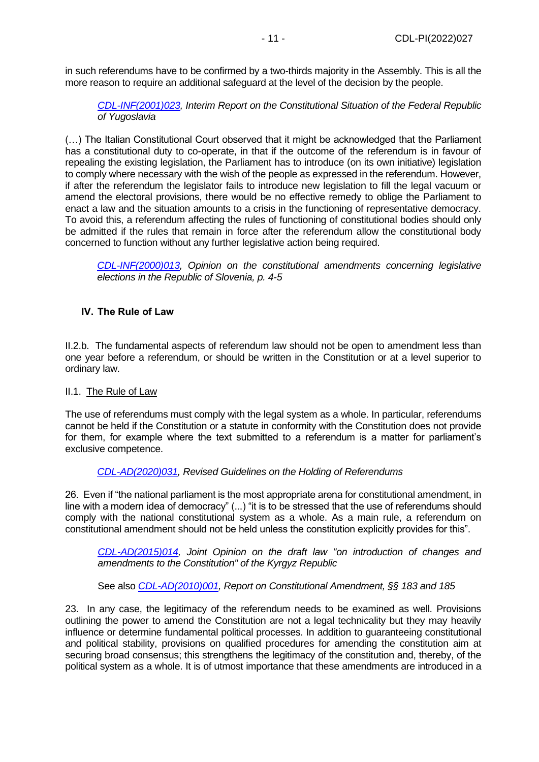in such referendums have to be confirmed by a two-thirds majority in the Assembly. This is all the more reason to require an additional safeguard at the level of the decision by the people.

*[CDL-INF\(2001\)023,](http://www.venice.coe.int/webforms/documents/default.aspx?pdffile=CDL-INF(2001)023-e) Interim Report on the Constitutional Situation of the Federal Republic of Yugoslavia*

(…) The Italian Constitutional Court observed that it might be acknowledged that the Parliament has a constitutional duty to co-operate, in that if the outcome of the referendum is in favour of repealing the existing legislation, the Parliament has to introduce (on its own initiative) legislation to comply where necessary with the wish of the people as expressed in the referendum. However, if after the referendum the legislator fails to introduce new legislation to fill the legal vacuum or amend the electoral provisions, there would be no effective remedy to oblige the Parliament to enact a law and the situation amounts to a crisis in the functioning of representative democracy. To avoid this, a referendum affecting the rules of functioning of constitutional bodies should only be admitted if the rules that remain in force after the referendum allow the constitutional body concerned to function without any further legislative action being required.

*[CDL-INF\(2000\)013,](http://www.venice.coe.int/webforms/documents/default.aspx?pdffile=CDL-INF(2000)013-e) Opinion on the constitutional amendments concerning legislative elections in the Republic of Slovenia, p. 4-5*

## <span id="page-10-0"></span>**IV. The Rule of Law**

II.2.b. The fundamental aspects of referendum law should not be open to amendment less than one year before a referendum, or should be written in the Constitution or at a level superior to ordinary law.

## II.1. The Rule of Law

The use of referendums must comply with the legal system as a whole. In particular, referendums cannot be held if the Constitution or a statute in conformity with the Constitution does not provide for them, for example where the text submitted to a referendum is a matter for parliament's exclusive competence.

## *[CDL-AD\(2020\)031,](https://www.venice.coe.int/webforms/documents/?pdf=CDL-AD(2020)031-e) Revised Guidelines on the Holding of Referendums*

26. Even if "the national parliament is the most appropriate arena for constitutional amendment, in line with a modern idea of democracy" (...) "it is to be stressed that the use of referendums should comply with the national constitutional system as a whole. As a main rule, a referendum on constitutional amendment should not be held unless the constitution explicitly provides for this".

*[CDL-AD\(2015\)014,](http://www.venice.coe.int/webforms/documents/?pdf=CDL-AD(2015)014-e) Joint Opinion on the draft law "on introduction of changes and amendments to the Constitution" of the Kyrgyz Republic*

See also *[CDL-AD\(2010\)001,](http://www.venice.coe.int/webforms/documents/?pdf=CDL-AD(2010)001-e) Report on Constitutional Amendment, §§ 183 and 185*

23. In any case, the legitimacy of the referendum needs to be examined as well. Provisions outlining the power to amend the Constitution are not a legal technicality but they may heavily influence or determine fundamental political processes. In addition to guaranteeing constitutional and political stability, provisions on qualified procedures for amending the constitution aim at securing broad consensus; this strengthens the legitimacy of the constitution and, thereby, of the political system as a whole. It is of utmost importance that these amendments are introduced in a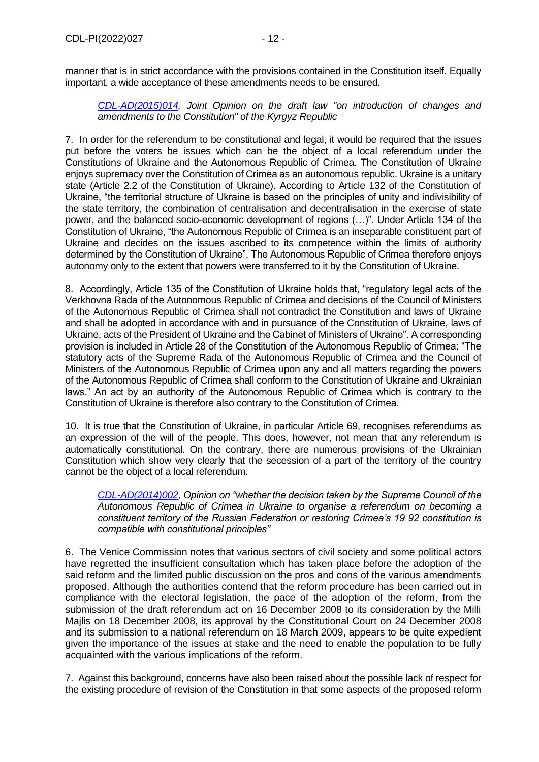manner that is in strict accordance with the provisions contained in the Constitution itself. Equally important, a wide acceptance of these amendments needs to be ensured.

## *[CDL-AD\(2015\)014,](http://www.venice.coe.int/webforms/documents/?pdf=CDL-AD(2015)014-e) Joint Opinion on the draft law "on introduction of changes and amendments to the Constitution" of the Kyrgyz Republic*

7. In order for the referendum to be constitutional and legal, it would be required that the issues put before the voters be issues which can be the object of a local referendum under the Constitutions of Ukraine and the Autonomous Republic of Crimea. The Constitution of Ukraine enjoys supremacy over the Constitution of Crimea as an autonomous republic. Ukraine is a unitary state (Article 2.2 of the Constitution of Ukraine). According to Article 132 of the Constitution of Ukraine, "the territorial structure of Ukraine is based on the principles of unity and indivisibility of the state territory, the combination of centralisation and decentralisation in the exercise of state power, and the balanced socio‐economic development of regions (…)". Under Article 134 of the Constitution of Ukraine, "the Autonomous Republic of Crimea is an inseparable constituent part of Ukraine and decides on the issues ascribed to its competence within the limits of authority determined by the Constitution of Ukraine". The Autonomous Republic of Crimea therefore enjoys autonomy only to the extent that powers were transferred to it by the Constitution of Ukraine.

8. Accordingly, Article 135 of the Constitution of Ukraine holds that, "regulatory legal acts of the Verkhovna Rada of the Autonomous Republic of Crimea and decisions of the Council of Ministers of the Autonomous Republic of Crimea shall not contradict the Constitution and laws of Ukraine and shall be adopted in accordance with and in pursuance of the Constitution of Ukraine, laws of Ukraine, acts of the President of Ukraine and the Cabinet of Ministers of Ukraine". A corresponding provision is included in Article 28 of the Constitution of the Autonomous Republic of Crimea: "The statutory acts of the Supreme Rada of the Autonomous Republic of Crimea and the Council of Ministers of the Autonomous Republic of Crimea upon any and all matters regarding the powers of the Autonomous Republic of Crimea shall conform to the Constitution of Ukraine and Ukrainian laws." An act by an authority of the Autonomous Republic of Crimea which is contrary to the Constitution of Ukraine is therefore also contrary to the Constitution of Crimea.

10. It is true that the Constitution of Ukraine, in particular Article 69, recognises referendums as an expression of the will of the people. This does, however, not mean that any referendum is automatically constitutional. On the contrary, there are numerous provisions of the Ukrainian Constitution which show very clearly that the secession of a part of the territory of the country cannot be the object of a local referendum.

*[CDL-AD\(2014\)002,](http://www.venice.coe.int/webforms/documents/default.aspx?pdffile=CDL-AD(2014)002-e) Opinion on "whether the decision taken by the Supreme Council of the Autonomous Republic of Crimea in Ukraine to organise a referendum on becoming a constituent territory of the Russian Federation or restoring Crimea's 19 92 constitution is compatible with constitutional principles"*

6. The Venice Commission notes that various sectors of civil society and some political actors have regretted the insufficient consultation which has taken place before the adoption of the said reform and the limited public discussion on the pros and cons of the various amendments proposed. Although the authorities contend that the reform procedure has been carried out in compliance with the electoral legislation, the pace of the adoption of the reform, from the submission of the draft referendum act on 16 December 2008 to its consideration by the Milli Majlis on 18 December 2008, its approval by the Constitutional Court on 24 December 2008 and its submission to a national referendum on 18 March 2009, appears to be quite expedient given the importance of the issues at stake and the need to enable the population to be fully acquainted with the various implications of the reform.

7. Against this background, concerns have also been raised about the possible lack of respect for the existing procedure of revision of the Constitution in that some aspects of the proposed reform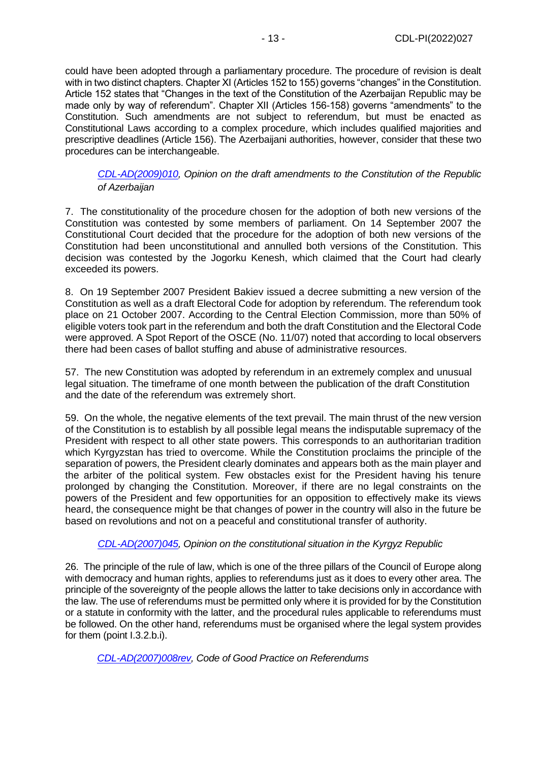could have been adopted through a parliamentary procedure. The procedure of revision is dealt with in two distinct chapters. Chapter XI (Articles 152 to 155) governs "changes" in the Constitution. Article 152 states that "Changes in the text of the Constitution of the Azerbaijan Republic may be made only by way of referendum". Chapter XII (Articles 156-158) governs "amendments" to the Constitution. Such amendments are not subject to referendum, but must be enacted as Constitutional Laws according to a complex procedure, which includes qualified majorities and prescriptive deadlines (Article 156). The Azerbaijani authorities, however, consider that these two procedures can be interchangeable.

*[CDL-AD\(2009\)010,](http://www.venice.coe.int/webforms/documents/?pdf=CDL-AD(2009)010-e) Opinion on the draft amendments to the Constitution of the Republic of Azerbaijan*

7. The constitutionality of the procedure chosen for the adoption of both new versions of the Constitution was contested by some members of parliament. On 14 September 2007 the Constitutional Court decided that the procedure for the adoption of both new versions of the Constitution had been unconstitutional and annulled both versions of the Constitution. This decision was contested by the Jogorku Kenesh, which claimed that the Court had clearly exceeded its powers.

8. On 19 September 2007 President Bakiev issued a decree submitting a new version of the Constitution as well as a draft Electoral Code for adoption by referendum. The referendum took place on 21 October 2007. According to the Central Election Commission, more than 50% of eligible voters took part in the referendum and both the draft Constitution and the Electoral Code were approved. A Spot Report of the OSCE (No. 11/07) noted that according to local observers there had been cases of ballot stuffing and abuse of administrative resources.

57. The new Constitution was adopted by referendum in an extremely complex and unusual legal situation. The timeframe of one month between the publication of the draft Constitution and the date of the referendum was extremely short.

59. On the whole, the negative elements of the text prevail. The main thrust of the new version of the Constitution is to establish by all possible legal means the indisputable supremacy of the President with respect to all other state powers. This corresponds to an authoritarian tradition which Kyrgyzstan has tried to overcome. While the Constitution proclaims the principle of the separation of powers, the President clearly dominates and appears both as the main player and the arbiter of the political system. Few obstacles exist for the President having his tenure prolonged by changing the Constitution. Moreover, if there are no legal constraints on the powers of the President and few opportunities for an opposition to effectively make its views heard, the consequence might be that changes of power in the country will also in the future be based on revolutions and not on a peaceful and constitutional transfer of authority.

## *[CDL-AD\(2007\)045,](http://www.venice.coe.int/webforms/documents/?pdf=CDL-AD(2007)045-e) Opinion on the constitutional situation in the Kyrgyz Republic*

26. The principle of the rule of law, which is one of the three pillars of the Council of Europe along with democracy and human rights, applies to referendums just as it does to every other area. The principle of the sovereignty of the people allows the latter to take decisions only in accordance with the law. The use of referendums must be permitted only where it is provided for by the Constitution or a statute in conformity with the latter, and the procedural rules applicable to referendums must be followed. On the other hand, referendums must be organised where the legal system provides for them (point I.3.2.b.i).

*[CDL-AD\(2007\)008rev,](http://www.venice.coe.int/webforms/documents/?pdf=CDL-AD(2007)008rev-e) Code of Good Practice on Referendums*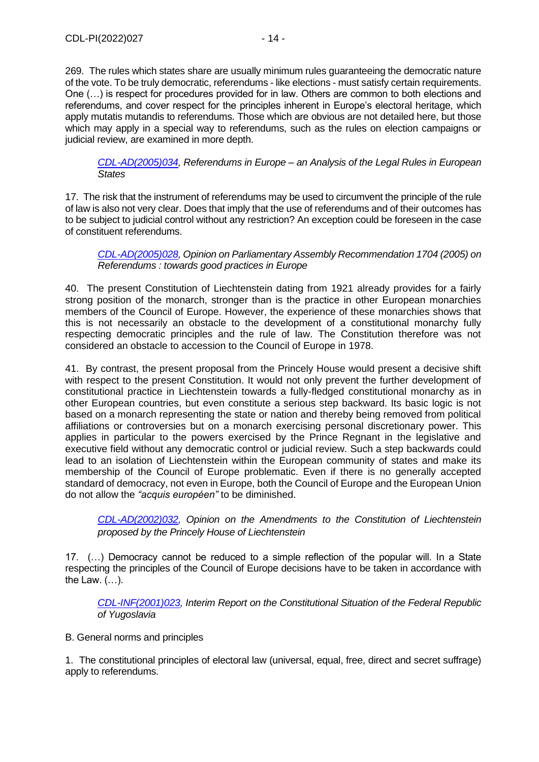269. The rules which states share are usually minimum rules guaranteeing the democratic nature of the vote. To be truly democratic, referendums - like elections - must satisfy certain requirements. One (…) is respect for procedures provided for in law. Others are common to both elections and referendums, and cover respect for the principles inherent in Europe's electoral heritage, which apply mutatis mutandis to referendums. Those which are obvious are not detailed here, but those which may apply in a special way to referendums, such as the rules on election campaigns or judicial review, are examined in more depth.

*[CDL-AD\(2005\)034,](http://www.venice.coe.int/webforms/documents/?pdf=CDL-AD(2005)034-e) Referendums in Europe – an Analysis of the Legal Rules in European States*

17. The risk that the instrument of referendums may be used to circumvent the principle of the rule of law is also not very clear. Does that imply that the use of referendums and of their outcomes has to be subject to judicial control without any restriction? An exception could be foreseen in the case of constituent referendums.

*[CDL-AD\(2005\)028,](http://www.venice.coe.int/webforms/documents/?pdf=CDL-AD(2005)028-e) Opinion on Parliamentary Assembly Recommendation 1704 (2005) on Referendums : towards good practices in Europe*

40. The present Constitution of Liechtenstein dating from 1921 already provides for a fairly strong position of the monarch, stronger than is the practice in other European monarchies members of the Council of Europe. However, the experience of these monarchies shows that this is not necessarily an obstacle to the development of a constitutional monarchy fully respecting democratic principles and the rule of law. The Constitution therefore was not considered an obstacle to accession to the Council of Europe in 1978.

41. By contrast, the present proposal from the Princely House would present a decisive shift with respect to the present Constitution. It would not only prevent the further development of constitutional practice in Liechtenstein towards a fully-fledged constitutional monarchy as in other European countries, but even constitute a serious step backward. Its basic logic is not based on a monarch representing the state or nation and thereby being removed from political affiliations or controversies but on a monarch exercising personal discretionary power. This applies in particular to the powers exercised by the Prince Regnant in the legislative and executive field without any democratic control or judicial review. Such a step backwards could lead to an isolation of Liechtenstein within the European community of states and make its membership of the Council of Europe problematic. Even if there is no generally accepted standard of democracy, not even in Europe, both the Council of Europe and the European Union do not allow the *"acquis européen"* to be diminished.

*[CDL-AD\(2002\)032,](http://www.venice.coe.int/webforms/documents/?pdf=CDL-AD(2002)032-e) Opinion on the Amendments to the Constitution of Liechtenstein proposed by the Princely House of Liechtenstein*

17. (…) Democracy cannot be reduced to a simple reflection of the popular will. In a State respecting the principles of the Council of Europe decisions have to be taken in accordance with the Law. (…).

*[CDL-INF\(2001\)023,](http://www.venice.coe.int/webforms/documents/default.aspx?pdffile=CDL-INF(2001)023-e) Interim Report on the Constitutional Situation of the Federal Republic of Yugoslavia*

B. General norms and principles

1. The constitutional principles of electoral law (universal, equal, free, direct and secret suffrage) apply to referendums.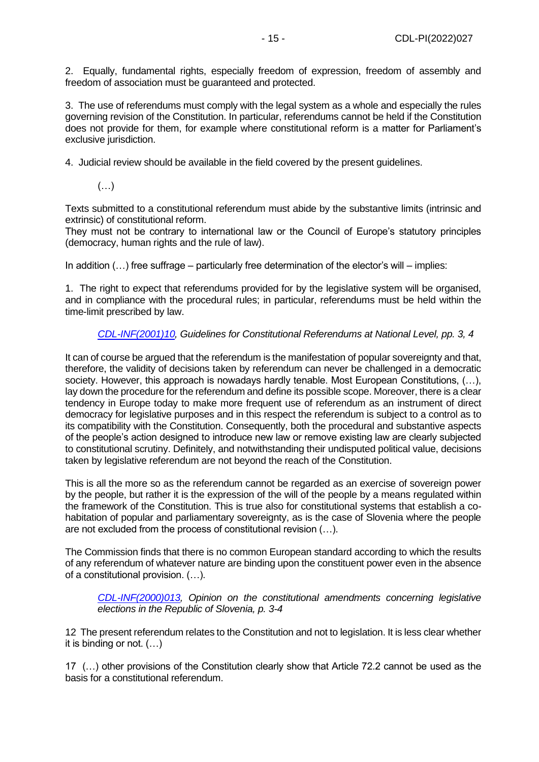2. Equally, fundamental rights, especially freedom of expression, freedom of assembly and freedom of association must be guaranteed and protected.

3. The use of referendums must comply with the legal system as a whole and especially the rules governing revision of the Constitution. In particular, referendums cannot be held if the Constitution does not provide for them, for example where constitutional reform is a matter for Parliament's exclusive jurisdiction.

4. Judicial review should be available in the field covered by the present guidelines.

 $(\ldots)$ 

Texts submitted to a constitutional referendum must abide by the substantive limits (intrinsic and extrinsic) of constitutional reform.

They must not be contrary to international law or the Council of Europe's statutory principles (democracy, human rights and the rule of law).

In addition (…) free suffrage – particularly free determination of the elector's will – implies:

1. The right to expect that referendums provided for by the legislative system will be organised, and in compliance with the procedural rules; in particular, referendums must be held within the time-limit prescribed by law.

## *[CDL-INF\(2001\)10,](http://www.venice.coe.int/webforms/documents/CDL-INF(2001)010-e.aspx) Guidelines for Constitutional Referendums at National Level, pp. 3, 4*

It can of course be argued that the referendum is the manifestation of popular sovereignty and that, therefore, the validity of decisions taken by referendum can never be challenged in a democratic society. However, this approach is nowadays hardly tenable. Most European Constitutions, (...), lay down the procedure for the referendum and define its possible scope. Moreover, there is a clear tendency in Europe today to make more frequent use of referendum as an instrument of direct democracy for legislative purposes and in this respect the referendum is subject to a control as to its compatibility with the Constitution. Consequently, both the procedural and substantive aspects of the people's action designed to introduce new law or remove existing law are clearly subjected to constitutional scrutiny. Definitely, and notwithstanding their undisputed political value, decisions taken by legislative referendum are not beyond the reach of the Constitution.

This is all the more so as the referendum cannot be regarded as an exercise of sovereign power by the people, but rather it is the expression of the will of the people by a means regulated within the framework of the Constitution. This is true also for constitutional systems that establish a cohabitation of popular and parliamentary sovereignty, as is the case of Slovenia where the people are not excluded from the process of constitutional revision (…).

The Commission finds that there is no common European standard according to which the results of any referendum of whatever nature are binding upon the constituent power even in the absence of a constitutional provision. (…).

*[CDL-INF\(2000\)013,](http://www.venice.coe.int/webforms/documents/default.aspx?pdffile=CDL-INF(2000)013-e) Opinion on the constitutional amendments concerning legislative elections in the Republic of Slovenia, p. 3-4*

12 The present referendum relates to the Constitution and not to legislation. It is less clear whether it is binding or not. (…)

17 (…) other provisions of the Constitution clearly show that Article 72.2 cannot be used as the basis for a constitutional referendum.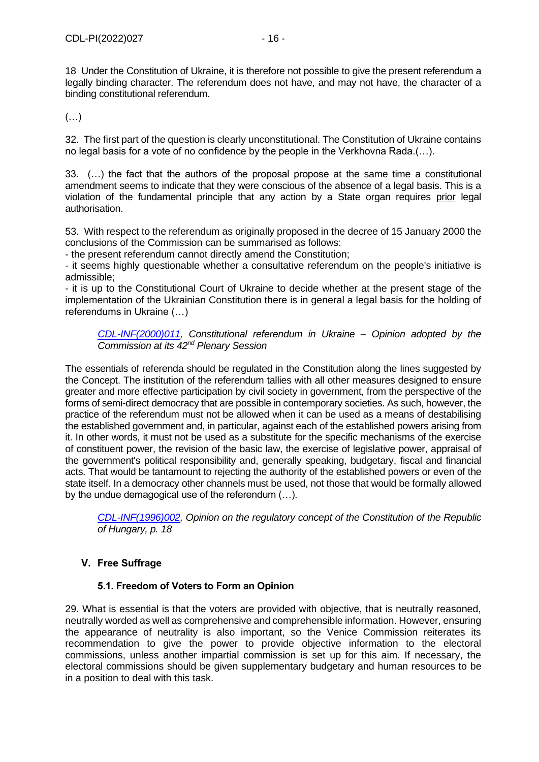18 Under the Constitution of Ukraine, it is therefore not possible to give the present referendum a legally binding character. The referendum does not have, and may not have, the character of a binding constitutional referendum.

(…)

32. The first part of the question is clearly unconstitutional. The Constitution of Ukraine contains no legal basis for a vote of no confidence by the people in the Verkhovna Rada.(…).

33. (…) the fact that the authors of the proposal propose at the same time a constitutional amendment seems to indicate that they were conscious of the absence of a legal basis. This is a violation of the fundamental principle that any action by a State organ requires prior legal authorisation.

53. With respect to the referendum as originally proposed in the decree of 15 January 2000 the conclusions of the Commission can be summarised as follows:

- the present referendum cannot directly amend the Constitution;

- it seems highly questionable whether a consultative referendum on the people's initiative is admissible;

- it is up to the Constitutional Court of Ukraine to decide whether at the present stage of the implementation of the Ukrainian Constitution there is in general a legal basis for the holding of referendums in Ukraine (…)

*[CDL-INF\(2000\)011,](http://www.venice.coe.int/webforms/documents/default.aspx?pdffile=CDL-INF(2000)011-e) Constitutional referendum in Ukraine – Opinion adopted by the Commission at its 42nd Plenary Session*

The essentials of referenda should be regulated in the Constitution along the lines suggested by the Concept. The institution of the referendum tallies with all other measures designed to ensure greater and more effective participation by civil society in government, from the perspective of the forms of semi-direct democracy that are possible in contemporary societies. As such, however, the practice of the referendum must not be allowed when it can be used as a means of destabilising the established government and, in particular, against each of the established powers arising from it. In other words, it must not be used as a substitute for the specific mechanisms of the exercise of constituent power, the revision of the basic law, the exercise of legislative power, appraisal of the government's political responsibility and, generally speaking, budgetary, fiscal and financial acts. That would be tantamount to rejecting the authority of the established powers or even of the state itself. In a democracy other channels must be used, not those that would be formally allowed by the undue demagogical use of the referendum (…).

*[CDL-INF\(1996\)002,](http://www.venice.coe.int/webforms/documents/?pdf=CDL-INF(1996)002-bil) Opinion on the regulatory concept of the Constitution of the Republic of Hungary, p. 18*

# <span id="page-15-0"></span>**V. Free Suffrage**

## **5.1. Freedom of Voters to Form an Opinion**

<span id="page-15-1"></span>29. What is essential is that the voters are provided with objective, that is neutrally reasoned, neutrally worded as well as comprehensive and comprehensible information. However, ensuring the appearance of neutrality is also important, so the Venice Commission reiterates its recommendation to give the power to provide objective information to the electoral commissions, unless another impartial commission is set up for this aim. If necessary, the electoral commissions should be given supplementary budgetary and human resources to be in a position to deal with this task.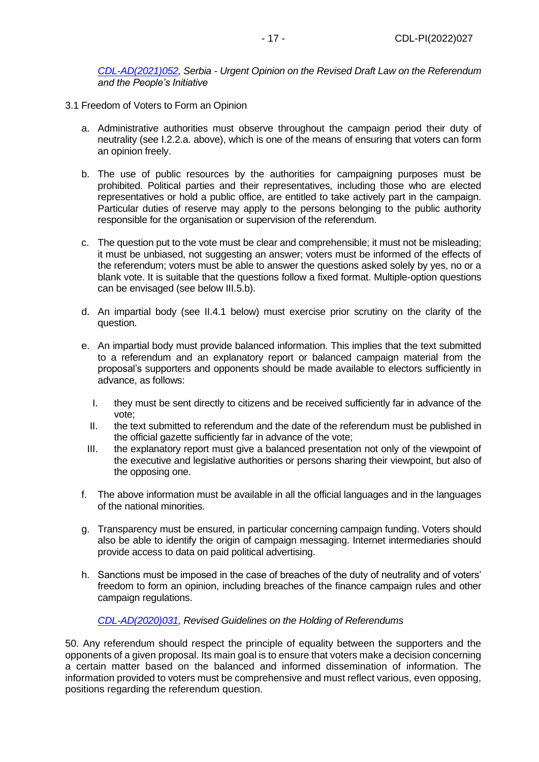## *[CDL-AD\(2021\)052,](https://www.venice.coe.int/webforms/documents/default.aspx?pdffile=CDL-AD(2021)052-e) Serbia - Urgent Opinion on the Revised Draft Law on the Referendum and the People's Initiative*

- 3.1 Freedom of Voters to Form an Opinion
	- a. Administrative authorities must observe throughout the campaign period their duty of neutrality (see I.2.2.a. above), which is one of the means of ensuring that voters can form an opinion freely.
	- b. The use of public resources by the authorities for campaigning purposes must be prohibited. Political parties and their representatives, including those who are elected representatives or hold a public office, are entitled to take actively part in the campaign. Particular duties of reserve may apply to the persons belonging to the public authority responsible for the organisation or supervision of the referendum.
	- c. The question put to the vote must be clear and comprehensible; it must not be misleading; it must be unbiased, not suggesting an answer; voters must be informed of the effects of the referendum; voters must be able to answer the questions asked solely by yes, no or a blank vote. It is suitable that the questions follow a fixed format. Multiple-option questions can be envisaged (see below III.5.b).
	- d. An impartial body (see II.4.1 below) must exercise prior scrutiny on the clarity of the question.
	- e. An impartial body must provide balanced information. This implies that the text submitted to a referendum and an explanatory report or balanced campaign material from the proposal's supporters and opponents should be made available to electors sufficiently in advance, as follows:
		- I. they must be sent directly to citizens and be received sufficiently far in advance of the vote;
		- II. the text submitted to referendum and the date of the referendum must be published in the official gazette sufficiently far in advance of the vote;
		- III. the explanatory report must give a balanced presentation not only of the viewpoint of the executive and legislative authorities or persons sharing their viewpoint, but also of the opposing one.
	- f. The above information must be available in all the official languages and in the languages of the national minorities.
	- g. Transparency must be ensured, in particular concerning campaign funding. Voters should also be able to identify the origin of campaign messaging. Internet intermediaries should provide access to data on paid political advertising.
	- h. Sanctions must be imposed in the case of breaches of the duty of neutrality and of voters' freedom to form an opinion, including breaches of the finance campaign rules and other campaign regulations.

## *[CDL-AD\(2020\)031,](https://www.venice.coe.int/webforms/documents/?pdf=CDL-AD(2020)031-e) Revised Guidelines on the Holding of Referendums*

50. Any referendum should respect the principle of equality between the supporters and the opponents of a given proposal. Its main goal is to ensure that voters make a decision concerning a certain matter based on the balanced and informed dissemination of information. The information provided to voters must be comprehensive and must reflect various, even opposing, positions regarding the referendum question.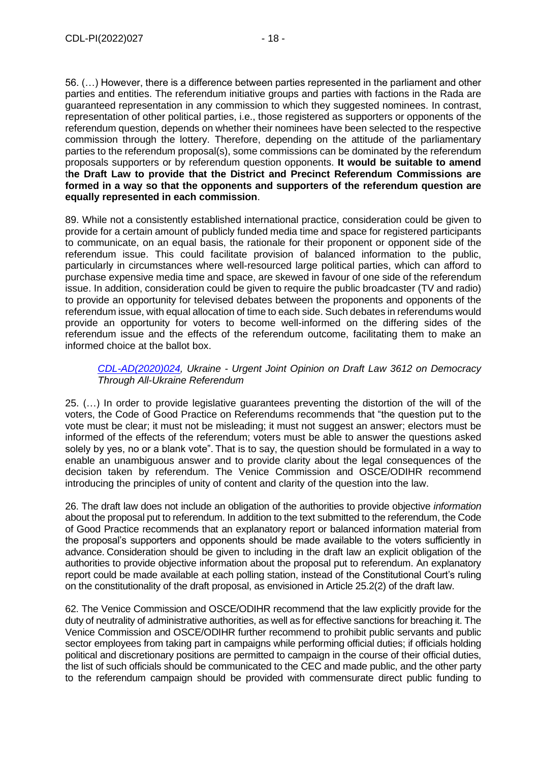56. (…) However, there is a difference between parties represented in the parliament and other parties and entities. The referendum initiative groups and parties with factions in the Rada are guaranteed representation in any commission to which they suggested nominees. In contrast, representation of other political parties, i.e., those registered as supporters or opponents of the referendum question, depends on whether their nominees have been selected to the respective commission through the lottery. Therefore, depending on the attitude of the parliamentary parties to the referendum proposal(s), some commissions can be dominated by the referendum proposals supporters or by referendum question opponents. **It would be suitable to amend**  t**he Draft Law to provide that the District and Precinct Referendum Commissions are formed in a way so that the opponents and supporters of the referendum question are equally represented in each commission**.

89. While not a consistently established international practice, consideration could be given to provide for a certain amount of publicly funded media time and space for registered participants to communicate, on an equal basis, the rationale for their proponent or opponent side of the referendum issue. This could facilitate provision of balanced information to the public, particularly in circumstances where well-resourced large political parties, which can afford to purchase expensive media time and space, are skewed in favour of one side of the referendum issue. In addition, consideration could be given to require the public broadcaster (TV and radio) to provide an opportunity for televised debates between the proponents and opponents of the referendum issue, with equal allocation of time to each side. Such debates in referendums would provide an opportunity for voters to become well-informed on the differing sides of the referendum issue and the effects of the referendum outcome, facilitating them to make an informed choice at the ballot box.

## *[CDL-AD\(2020\)024,](https://www.venice.coe.int/webforms/documents/default.aspx?pdffile=CDL-AD(2020)024-e) Ukraine - Urgent Joint Opinion on Draft Law 3612 on Democracy Through All-Ukraine Referendum*

25. (…) In order to provide legislative guarantees preventing the distortion of the will of the voters, the Code of Good Practice on Referendums recommends that "the question put to the vote must be clear; it must not be misleading; it must not suggest an answer; electors must be informed of the effects of the referendum; voters must be able to answer the questions asked solely by yes, no or a blank vote". That is to say, the question should be formulated in a way to enable an unambiguous answer and to provide clarity about the legal consequences of the decision taken by referendum. The Venice Commission and OSCE/ODIHR recommend introducing the principles of unity of content and clarity of the question into the law.

26. The draft law does not include an obligation of the authorities to provide objective *information* about the proposal put to referendum. In addition to the text submitted to the referendum, the Code of Good Practice recommends that an explanatory report or balanced information material from the proposal's supporters and opponents should be made available to the voters sufficiently in advance. Consideration should be given to including in the draft law an explicit obligation of the authorities to provide objective information about the proposal put to referendum. An explanatory report could be made available at each polling station, instead of the Constitutional Court's ruling on the constitutionality of the draft proposal, as envisioned in Article 25.2(2) of the draft law.

62. The Venice Commission and OSCE/ODIHR recommend that the law explicitly provide for the duty of neutrality of administrative authorities, as well as for effective sanctions for breaching it. The Venice Commission and OSCE/ODIHR further recommend to prohibit public servants and public sector employees from taking part in campaigns while performing official duties; if officials holding political and discretionary positions are permitted to campaign in the course of their official duties, the list of such officials should be communicated to the CEC and made public, and the other party to the referendum campaign should be provided with commensurate direct public funding to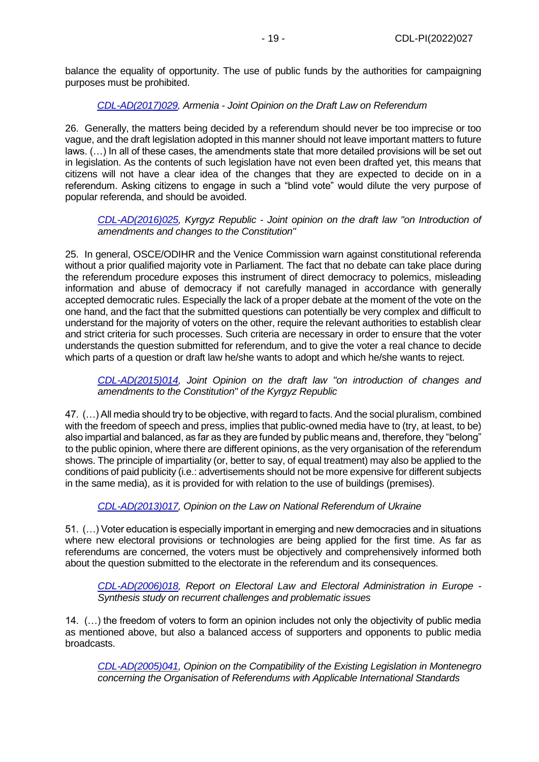balance the equality of opportunity. The use of public funds by the authorities for campaigning purposes must be prohibited.

## *[CDL-AD\(2017\)029,](https://www.venice.coe.int/webforms/documents/default.aspx?pdffile=CDL-AD(2017)029-e) Armenia - Joint Opinion on the Draft Law on Referendum*

26. Generally, the matters being decided by a referendum should never be too imprecise or too vague, and the draft legislation adopted in this manner should not leave important matters to future laws. (…) In all of these cases, the amendments state that more detailed provisions will be set out in legislation. As the contents of such legislation have not even been drafted yet, this means that citizens will not have a clear idea of the changes that they are expected to decide on in a referendum. Asking citizens to engage in such a "blind vote" would dilute the very purpose of popular referenda, and should be avoided.

*[CDL-AD\(2016\)025,](http://www.venice.coe.int/webforms/documents/?pdf=CDL-AD(2016)025-e) Kyrgyz Republic - Joint opinion on the draft law "on Introduction of amendments and changes to the Constitution"*

25. In general, OSCE/ODIHR and the Venice Commission warn against constitutional referenda without a prior qualified majority vote in Parliament. The fact that no debate can take place during the referendum procedure exposes this instrument of direct democracy to polemics, misleading information and abuse of democracy if not carefully managed in accordance with generally accepted democratic rules. Especially the lack of a proper debate at the moment of the vote on the one hand, and the fact that the submitted questions can potentially be very complex and difficult to understand for the majority of voters on the other, require the relevant authorities to establish clear and strict criteria for such processes. Such criteria are necessary in order to ensure that the voter understands the question submitted for referendum, and to give the voter a real chance to decide which parts of a question or draft law he/she wants to adopt and which he/she wants to reject.

*[CDL-AD\(2015\)014,](http://www.venice.coe.int/webforms/documents/?pdf=CDL-AD(2015)014-e) Joint Opinion on the draft law "on introduction of changes and amendments to the Constitution" of the Kyrgyz Republic*

47. (…) All media should try to be objective, with regard to facts. And the social pluralism, combined with the freedom of speech and press, implies that public-owned media have to (try, at least, to be) also impartial and balanced, as far as they are funded by public means and, therefore, they "belong" to the public opinion, where there are different opinions, as the very organisation of the referendum shows. The principle of impartiality (or, better to say, of equal treatment) may also be applied to the conditions of paid publicity (i.e.: advertisements should not be more expensive for different subjects in the same media), as it is provided for with relation to the use of buildings (premises).

*[CDL-AD\(2013\)017,](http://www.venice.coe.int/webforms/documents/?pdf=CDL-AD(2013)017-e) Opinion on the Law on National Referendum of Ukraine*

51. (…) Voter education is especially important in emerging and new democracies and in situations where new electoral provisions or technologies are being applied for the first time. As far as referendums are concerned, the voters must be objectively and comprehensively informed both about the question submitted to the electorate in the referendum and its consequences.

*[CDL-AD\(2006\)018,](http://www.venice.coe.int/webforms/documents/?pdf=CDL-AD(2006)018-e) Report on Electoral Law and Electoral Administration in Europe - Synthesis study on recurrent challenges and problematic issues*

14. (…) the freedom of voters to form an opinion includes not only the objectivity of public media as mentioned above, but also a balanced access of supporters and opponents to public media broadcasts.

*[CDL-AD\(2005\)041,](http://www.venice.coe.int/webforms/documents/CDL-AD(2005)041-e.aspx) Opinion on the Compatibility of the Existing Legislation in Montenegro concerning the Organisation of Referendums with Applicable International Standards*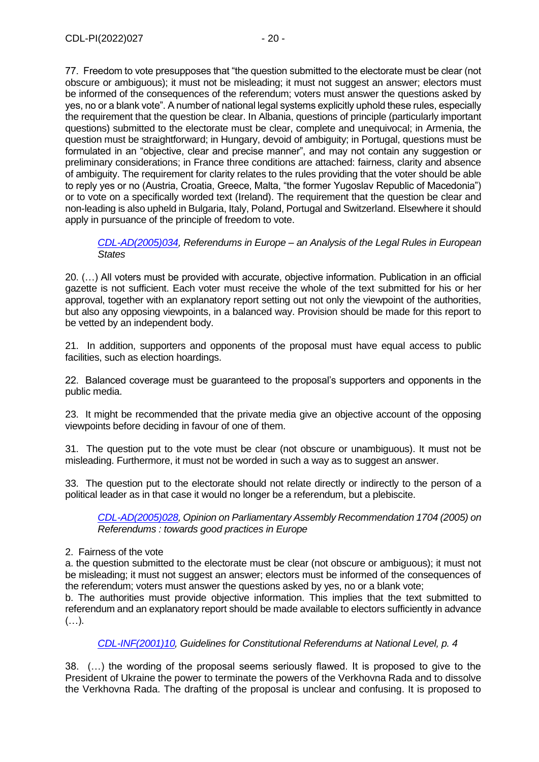77. Freedom to vote presupposes that "the question submitted to the electorate must be clear (not obscure or ambiguous); it must not be misleading; it must not suggest an answer; electors must be informed of the consequences of the referendum; voters must answer the questions asked by yes, no or a blank vote". A number of national legal systems explicitly uphold these rules, especially the requirement that the question be clear. In Albania, questions of principle (particularly important questions) submitted to the electorate must be clear, complete and unequivocal; in Armenia, the question must be straightforward; in Hungary, devoid of ambiguity; in Portugal, questions must be formulated in an "objective, clear and precise manner", and may not contain any suggestion or preliminary considerations; in France three conditions are attached: fairness, clarity and absence of ambiguity. The requirement for clarity relates to the rules providing that the voter should be able to reply yes or no (Austria, Croatia, Greece, Malta, "the former Yugoslav Republic of Macedonia") or to vote on a specifically worded text (Ireland). The requirement that the question be clear and non-leading is also upheld in Bulgaria, Italy, Poland, Portugal and Switzerland. Elsewhere it should apply in pursuance of the principle of freedom to vote.

*[CDL-AD\(2005\)034,](http://www.venice.coe.int/webforms/documents/?pdf=CDL-AD(2005)034-e) Referendums in Europe – an Analysis of the Legal Rules in European States*

20. (…) All voters must be provided with accurate, objective information. Publication in an official gazette is not sufficient. Each voter must receive the whole of the text submitted for his or her approval, together with an explanatory report setting out not only the viewpoint of the authorities, but also any opposing viewpoints, in a balanced way. Provision should be made for this report to be vetted by an independent body.

21. In addition, supporters and opponents of the proposal must have equal access to public facilities, such as election hoardings.

22. Balanced coverage must be guaranteed to the proposal's supporters and opponents in the public media.

23. It might be recommended that the private media give an objective account of the opposing viewpoints before deciding in favour of one of them.

31. The question put to the vote must be clear (not obscure or unambiguous). It must not be misleading. Furthermore, it must not be worded in such a way as to suggest an answer.

33. The question put to the electorate should not relate directly or indirectly to the person of a political leader as in that case it would no longer be a referendum, but a plebiscite.

*[CDL-AD\(2005\)028,](http://www.venice.coe.int/webforms/documents/?pdf=CDL-AD(2005)028-e) Opinion on Parliamentary Assembly Recommendation 1704 (2005) on Referendums : towards good practices in Europe*

#### 2. Fairness of the vote

a. the question submitted to the electorate must be clear (not obscure or ambiguous); it must not be misleading; it must not suggest an answer; electors must be informed of the consequences of the referendum; voters must answer the questions asked by yes, no or a blank vote;

b. The authorities must provide objective information. This implies that the text submitted to referendum and an explanatory report should be made available to electors sufficiently in advance  $(\ldots).$ 

## *[CDL-INF\(2001\)10,](http://www.venice.coe.int/webforms/documents/CDL-INF(2001)010-e.aspx) Guidelines for Constitutional Referendums at National Level, p. 4*

38. (…) the wording of the proposal seems seriously flawed. It is proposed to give to the President of Ukraine the power to terminate the powers of the Verkhovna Rada and to dissolve the Verkhovna Rada. The drafting of the proposal is unclear and confusing. It is proposed to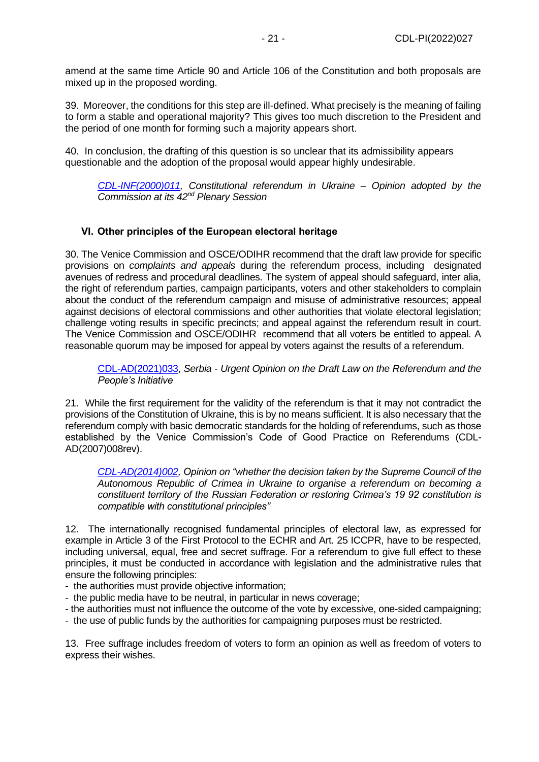amend at the same time Article 90 and Article 106 of the Constitution and both proposals are mixed up in the proposed wording.

39. Moreover, the conditions for this step are ill-defined. What precisely is the meaning of failing to form a stable and operational majority? This gives too much discretion to the President and the period of one month for forming such a majority appears short.

40. In conclusion, the drafting of this question is so unclear that its admissibility appears questionable and the adoption of the proposal would appear highly undesirable.

*[CDL-INF\(2000\)011,](http://www.venice.coe.int/webforms/documents/default.aspx?pdffile=CDL-INF(2000)011-e) Constitutional referendum in Ukraine – Opinion adopted by the Commission at its 42nd Plenary Session*

## <span id="page-20-0"></span>**VI. Other principles of the European electoral heritage**

30. The Venice Commission and OSCE/ODIHR recommend that the draft law provide for specific provisions on *complaints and appeals* during the referendum process, including designated avenues of redress and procedural deadlines. The system of appeal should safeguard, inter alia, the right of referendum parties, campaign participants, voters and other stakeholders to complain about the conduct of the referendum campaign and misuse of administrative resources; appeal against decisions of electoral commissions and other authorities that violate electoral legislation; challenge voting results in specific precincts; and appeal against the referendum result in court. The Venice Commission and OSCE/ODIHR recommend that all voters be entitled to appeal. A reasonable quorum may be imposed for appeal by voters against the results of a referendum.

[CDL-AD\(2021\)033,](https://www.venice.coe.int/webforms/documents/default.aspx?pdffile=CDL-AD(2021)033-e) *Serbia - Urgent Opinion on the Draft Law on the Referendum and the People's Initiative*

21. While the first requirement for the validity of the referendum is that it may not contradict the provisions of the Constitution of Ukraine, this is by no means sufficient. It is also necessary that the referendum comply with basic democratic standards for the holding of referendums, such as those established by the Venice Commission's Code of Good Practice on Referendums (CDL-AD(2007)008rev).

*[CDL-AD\(2014\)002,](http://www.venice.coe.int/webforms/documents/default.aspx?pdffile=CDL-AD(2014)002-e) Opinion on "whether the decision taken by the Supreme Council of the Autonomous Republic of Crimea in Ukraine to organise a referendum on becoming a constituent territory of the Russian Federation or restoring Crimea's 19 92 constitution is compatible with constitutional principles"*

12. The internationally recognised fundamental principles of electoral law, as expressed for example in Article 3 of the First Protocol to the ECHR and Art. 25 ICCPR, have to be respected, including universal, equal, free and secret suffrage. For a referendum to give full effect to these principles, it must be conducted in accordance with legislation and the administrative rules that ensure the following principles:

- the authorities must provide objective information;
- the public media have to be neutral, in particular in news coverage;
- the authorities must not influence the outcome of the vote by excessive, one-sided campaigning;
- the use of public funds by the authorities for campaigning purposes must be restricted.

13. Free suffrage includes freedom of voters to form an opinion as well as freedom of voters to express their wishes.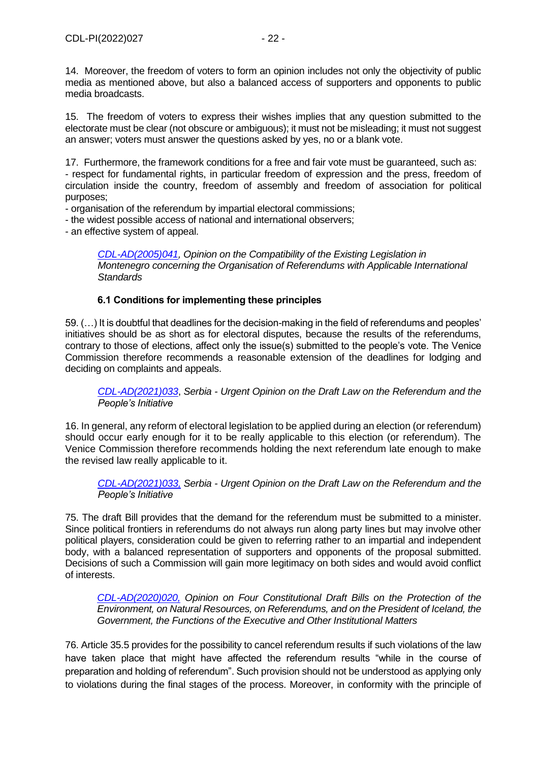14. Moreover, the freedom of voters to form an opinion includes not only the objectivity of public media as mentioned above, but also a balanced access of supporters and opponents to public media broadcasts.

15. The freedom of voters to express their wishes implies that any question submitted to the electorate must be clear (not obscure or ambiguous); it must not be misleading; it must not suggest an answer; voters must answer the questions asked by yes, no or a blank vote.

17. Furthermore, the framework conditions for a free and fair vote must be guaranteed, such as: - respect for fundamental rights, in particular freedom of expression and the press, freedom of circulation inside the country, freedom of assembly and freedom of association for political purposes;

- organisation of the referendum by impartial electoral commissions;

- the widest possible access of national and international observers;

- an effective system of appeal.

*[CDL-AD\(2005\)041,](http://www.venice.coe.int/webforms/documents/CDL-AD(2005)041-e.aspx) Opinion on the Compatibility of the Existing Legislation in Montenegro concerning the Organisation of Referendums with Applicable International Standards*

## **6.1 Conditions for implementing these principles**

<span id="page-21-0"></span>59. (…) It is doubtful that deadlines for the decision-making in the field of referendums and peoples' initiatives should be as short as for electoral disputes, because the results of the referendums, contrary to those of elections, affect only the issue(s) submitted to the people's vote. The Venice Commission therefore recommends a reasonable extension of the deadlines for lodging and deciding on complaints and appeals.

*[CDL-AD\(2021\)033](https://www.venice.coe.int/webforms/documents/default.aspx?pdffile=CDL-AD(2021)033-e)*, *Serbia - Urgent Opinion on the Draft Law on the Referendum and the People's Initiative*

16. In general, any reform of electoral legislation to be applied during an election (or referendum) should occur early enough for it to be really applicable to this election (or referendum). The Venice Commission therefore recommends holding the next referendum late enough to make the revised law really applicable to it.

*[CDL-AD\(2021\)033,](https://www.venice.coe.int/webforms/documents/default.aspx?pdffile=CDL-AD(2021)033-e) Serbia - Urgent Opinion on the Draft Law on the Referendum and the People's Initiative*

75. The draft Bill provides that the demand for the referendum must be submitted to a minister. Since political frontiers in referendums do not always run along party lines but may involve other political players, consideration could be given to referring rather to an impartial and independent body, with a balanced representation of supporters and opponents of the proposal submitted. Decisions of such a Commission will gain more legitimacy on both sides and would avoid conflict of interests.

*[CDL-AD\(2020\)020,](https://www.venice.coe.int/webforms/documents/default.aspx?pdffile=CDL-AD(2020)020-e) Opinion on Four Constitutional Draft Bills on the Protection of the Environment, on Natural Resources, on Referendums, and on the President of Iceland, the Government, the Functions of the Executive and Other Institutional Matters*

76. Article 35.5 provides for the possibility to cancel referendum results if such violations of the law have taken place that might have affected the referendum results "while in the course of preparation and holding of referendum". Such provision should not be understood as applying only to violations during the final stages of the process. Moreover, in conformity with the principle of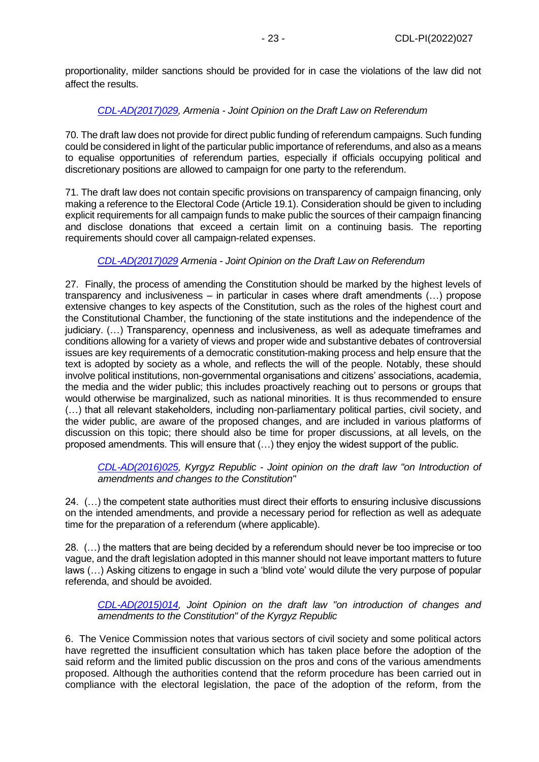proportionality, milder sanctions should be provided for in case the violations of the law did not affect the results.

## *[CDL-AD\(2017\)029,](https://www.venice.coe.int/webforms/documents/default.aspx?pdffile=CDL-AD(2017)029-e) Armenia - Joint Opinion on the Draft Law on Referendum*

70. The draft law does not provide for direct public funding of referendum campaigns. Such funding could be considered in light of the particular public importance of referendums, and also as a means to equalise opportunities of referendum parties, especially if officials occupying political and discretionary positions are allowed to campaign for one party to the referendum.

71. The draft law does not contain specific provisions on transparency of campaign financing, only making a reference to the Electoral Code (Article 19.1). Consideration should be given to including explicit requirements for all campaign funds to make public the sources of their campaign financing and disclose donations that exceed a certain limit on a continuing basis. The reporting requirements should cover all campaign-related expenses.

## *[CDL-AD\(2017\)029](https://www.venice.coe.int/webforms/documents/default.aspx?pdffile=CDL-AD(2017)029-e) Armenia - Joint Opinion on the Draft Law on Referendum*

27. Finally, the process of amending the Constitution should be marked by the highest levels of transparency and inclusiveness – in particular in cases where draft amendments (…) propose extensive changes to key aspects of the Constitution, such as the roles of the highest court and the Constitutional Chamber, the functioning of the state institutions and the independence of the judiciary. (…) Transparency, openness and inclusiveness, as well as adequate timeframes and conditions allowing for a variety of views and proper wide and substantive debates of controversial issues are key requirements of a democratic constitution-making process and help ensure that the text is adopted by society as a whole, and reflects the will of the people. Notably, these should involve political institutions, non-governmental organisations and citizens' associations, academia, the media and the wider public; this includes proactively reaching out to persons or groups that would otherwise be marginalized, such as national minorities. It is thus recommended to ensure (…) that all relevant stakeholders, including non-parliamentary political parties, civil society, and the wider public, are aware of the proposed changes, and are included in various platforms of discussion on this topic; there should also be time for proper discussions, at all levels, on the proposed amendments. This will ensure that (…) they enjoy the widest support of the public.

*[CDL-AD\(2016\)025,](http://www.venice.coe.int/webforms/documents/?pdf=CDL-AD(2016)025-e) Kyrgyz Republic - Joint opinion on the draft law "on Introduction of amendments and changes to the Constitution"*

24. (…) the competent state authorities must direct their efforts to ensuring inclusive discussions on the intended amendments, and provide a necessary period for reflection as well as adequate time for the preparation of a referendum (where applicable).

28. (…) the matters that are being decided by a referendum should never be too imprecise or too vague, and the draft legislation adopted in this manner should not leave important matters to future laws (…) Asking citizens to engage in such a 'blind vote' would dilute the very purpose of popular referenda, and should be avoided.

*[CDL-AD\(2015\)014,](http://www.venice.coe.int/webforms/documents/?pdf=CDL-AD(2015)014-e) Joint Opinion on the draft law "on introduction of changes and amendments to the Constitution" of the Kyrgyz Republic*

6. The Venice Commission notes that various sectors of civil society and some political actors have regretted the insufficient consultation which has taken place before the adoption of the said reform and the limited public discussion on the pros and cons of the various amendments proposed. Although the authorities contend that the reform procedure has been carried out in compliance with the electoral legislation, the pace of the adoption of the reform, from the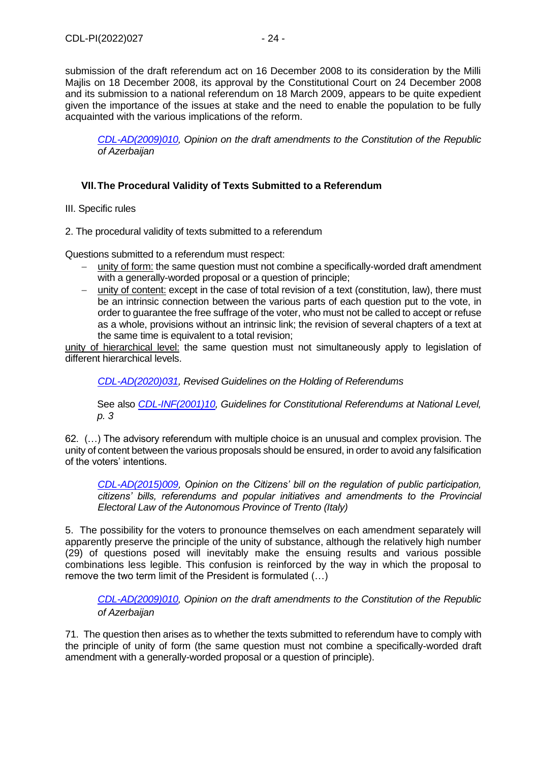submission of the draft referendum act on 16 December 2008 to its consideration by the Milli Majlis on 18 December 2008, its approval by the Constitutional Court on 24 December 2008 and its submission to a national referendum on 18 March 2009, appears to be quite expedient given the importance of the issues at stake and the need to enable the population to be fully acquainted with the various implications of the reform.

*[CDL-AD\(2009\)010,](http://www.venice.coe.int/webforms/documents/?pdf=CDL-AD(2009)010-e) Opinion on the draft amendments to the Constitution of the Republic of Azerbaijan*

# <span id="page-23-0"></span>**VII.The Procedural Validity of Texts Submitted to a Referendum**

III. Specific rules

2. The procedural validity of texts submitted to a referendum

Questions submitted to a referendum must respect:

- − unity of form: the same question must not combine a specifically-worded draft amendment with a generally-worded proposal or a question of principle;
- − unity of content: except in the case of total revision of a text (constitution, law), there must be an intrinsic connection between the various parts of each question put to the vote, in order to guarantee the free suffrage of the voter, who must not be called to accept or refuse as a whole, provisions without an intrinsic link; the revision of several chapters of a text at the same time is equivalent to a total revision;

unity of hierarchical level: the same question must not simultaneously apply to legislation of different hierarchical levels.

*[CDL-AD\(2020\)031,](https://www.venice.coe.int/webforms/documents/?pdf=CDL-AD(2020)031-e) Revised Guidelines on the Holding of Referendums*

See also *[CDL-INF\(2001\)10,](http://www.venice.coe.int/webforms/documents/CDL-INF(2001)010-e.aspx) Guidelines for Constitutional Referendums at National Level, p. 3*

62. (…) The advisory referendum with multiple choice is an unusual and complex provision. The unity of content between the various proposals should be ensured, in order to avoid any falsification of the voters' intentions.

*[CDL-AD\(2015\)009,](http://www.venice.coe.int/webforms/documents/?pdf=CDL-AD(2015)009-e) Opinion on the Citizens' bill on the regulation of public participation, citizens' bills, referendums and popular initiatives and amendments to the Provincial Electoral Law of the Autonomous Province of Trento (Italy)*

5. The possibility for the voters to pronounce themselves on each amendment separately will apparently preserve the principle of the unity of substance, although the relatively high number (29) of questions posed will inevitably make the ensuing results and various possible combinations less legible. This confusion is reinforced by the way in which the proposal to remove the two term limit of the President is formulated (…)

*[CDL-AD\(2009\)010,](http://www.venice.coe.int/webforms/documents/?pdf=CDL-AD(2009)010-e) Opinion on the draft amendments to the Constitution of the Republic of Azerbaijan*

71. The question then arises as to whether the texts submitted to referendum have to comply with the principle of unity of form (the same question must not combine a specifically-worded draft amendment with a generally-worded proposal or a question of principle).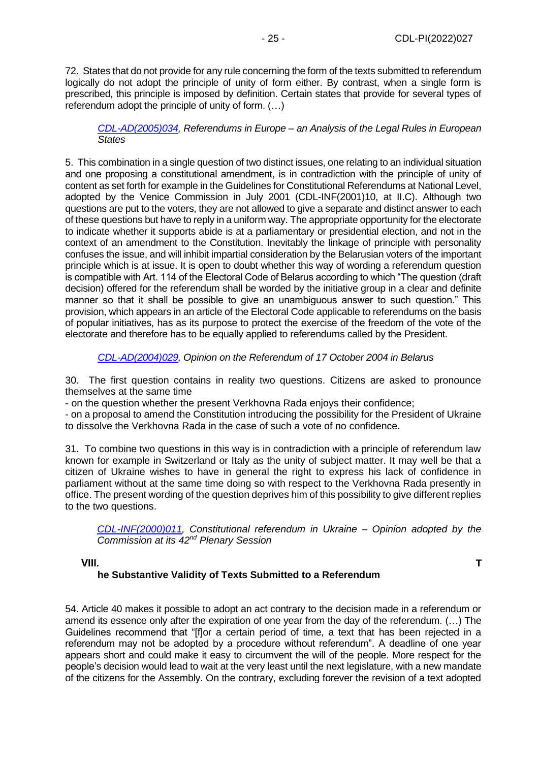72. States that do not provide for any rule concerning the form of the texts submitted to referendum logically do not adopt the principle of unity of form either. By contrast, when a single form is prescribed, this principle is imposed by definition. Certain states that provide for several types of referendum adopt the principle of unity of form. (…)

*[CDL-AD\(2005\)034,](http://www.venice.coe.int/webforms/documents/?pdf=CDL-AD(2005)034-e) Referendums in Europe – an Analysis of the Legal Rules in European States*

5. This combination in a single question of two distinct issues, one relating to an individual situation and one proposing a constitutional amendment, is in contradiction with the principle of unity of content as set forth for example in the Guidelines for Constitutional Referendums at National Level, adopted by the Venice Commission in July 2001 (CDL-INF(2001)10, at II.C). Although two questions are put to the voters, they are not allowed to give a separate and distinct answer to each of these questions but have to reply in a uniform way. The appropriate opportunity for the electorate to indicate whether it supports abide is at a parliamentary or presidential election, and not in the context of an amendment to the Constitution. Inevitably the linkage of principle with personality confuses the issue, and will inhibit impartial consideration by the Belarusian voters of the important principle which is at issue. It is open to doubt whether this way of wording a referendum question is compatible with Art. 114 of the Electoral Code of Belarus according to which "The question (draft decision) offered for the referendum shall be worded by the initiative group in a clear and definite manner so that it shall be possible to give an unambiguous answer to such question." This provision, which appears in an article of the Electoral Code applicable to referendums on the basis of popular initiatives, has as its purpose to protect the exercise of the freedom of the vote of the electorate and therefore has to be equally applied to referendums called by the President.

*[CDL-AD\(2004\)029,](http://www.venice.coe.int/webforms/documents/?pdf=CDL-AD(2004)029-e) Opinion on the Referendum of 17 October 2004 in Belarus*

30. The first question contains in reality two questions. Citizens are asked to pronounce themselves at the same time

- on the question whether the present Verkhovna Rada enjoys their confidence;

- on a proposal to amend the Constitution introducing the possibility for the President of Ukraine to dissolve the Verkhovna Rada in the case of such a vote of no confidence.

31. To combine two questions in this way is in contradiction with a principle of referendum law known for example in Switzerland or Italy as the unity of subject matter. It may well be that a citizen of Ukraine wishes to have in general the right to express his lack of confidence in parliament without at the same time doing so with respect to the Verkhovna Rada presently in office. The present wording of the question deprives him of this possibility to give different replies to the two questions.

*[CDL-INF\(2000\)011,](http://www.venice.coe.int/webforms/documents/default.aspx?pdffile=CDL-INF(2000)011-e) Constitutional referendum in Ukraine – Opinion adopted by the Commission at its 42nd Plenary Session*

<span id="page-24-0"></span>

#### **VIII. T he Substantive Validity of Texts Submitted to a Referendum**

54. Article 40 makes it possible to adopt an act contrary to the decision made in a referendum or amend its essence only after the expiration of one year from the day of the referendum. (…) The Guidelines recommend that "[f]or a certain period of time, a text that has been rejected in a referendum may not be adopted by a procedure without referendum". A deadline of one year appears short and could make it easy to circumvent the will of the people. More respect for the people's decision would lead to wait at the very least until the next legislature, with a new mandate of the citizens for the Assembly. On the contrary, excluding forever the revision of a text adopted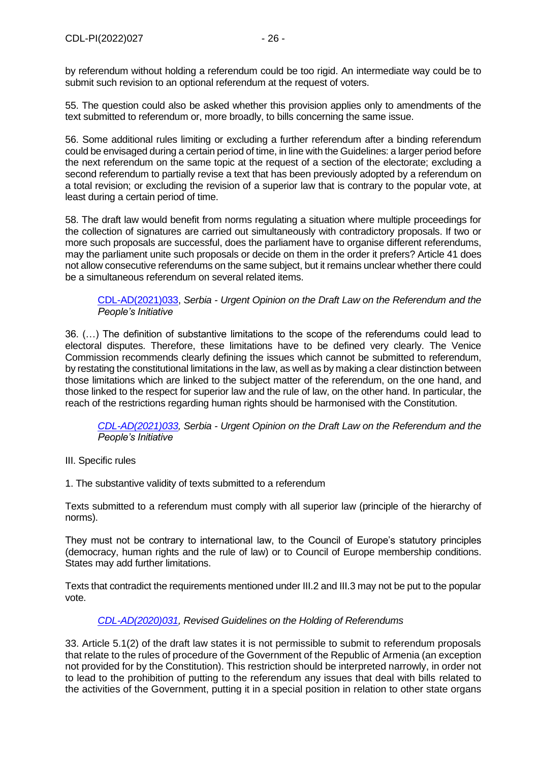by referendum without holding a referendum could be too rigid. An intermediate way could be to submit such revision to an optional referendum at the request of voters.

55. The question could also be asked whether this provision applies only to amendments of the text submitted to referendum or, more broadly, to bills concerning the same issue.

56. Some additional rules limiting or excluding a further referendum after a binding referendum could be envisaged during a certain period of time, in line with the Guidelines: a larger period before the next referendum on the same topic at the request of a section of the electorate; excluding a second referendum to partially revise a text that has been previously adopted by a referendum on a total revision; or excluding the revision of a superior law that is contrary to the popular vote, at least during a certain period of time.

58. The draft law would benefit from norms regulating a situation where multiple proceedings for the collection of signatures are carried out simultaneously with contradictory proposals. If two or more such proposals are successful, does the parliament have to organise different referendums, may the parliament unite such proposals or decide on them in the order it prefers? Article 41 does not allow consecutive referendums on the same subject, but it remains unclear whether there could be a simultaneous referendum on several related items.

[CDL-AD\(2021\)033,](https://www.venice.coe.int/webforms/documents/default.aspx?pdffile=CDL-AD(2021)033-e) *Serbia - Urgent Opinion on the Draft Law on the Referendum and the People's Initiative*

36. (…) The definition of substantive limitations to the scope of the referendums could lead to electoral disputes. Therefore, these limitations have to be defined very clearly. The Venice Commission recommends clearly defining the issues which cannot be submitted to referendum, by restating the constitutional limitations in the law, as well as by making a clear distinction between those limitations which are linked to the subject matter of the referendum, on the one hand, and those linked to the respect for superior law and the rule of law, on the other hand. In particular, the reach of the restrictions regarding human rights should be harmonised with the Constitution.

*[CDL-AD\(2021\)033,](https://www.venice.coe.int/webforms/documents/default.aspx?pdffile=CDL-AD(2021)033-e) Serbia - Urgent Opinion on the Draft Law on the Referendum and the People's Initiative*

#### III. Specific rules

1. The substantive validity of texts submitted to a referendum

Texts submitted to a referendum must comply with all superior law (principle of the hierarchy of norms).

They must not be contrary to international law, to the Council of Europe's statutory principles (democracy, human rights and the rule of law) or to Council of Europe membership conditions. States may add further limitations.

Texts that contradict the requirements mentioned under III.2 and III.3 may not be put to the popular vote.

#### *[CDL-AD\(2020\)031,](https://www.venice.coe.int/webforms/documents/?pdf=CDL-AD(2020)031-e) Revised Guidelines on the Holding of Referendums*

33. Article 5.1(2) of the draft law states it is not permissible to submit to referendum proposals that relate to the rules of procedure of the Government of the Republic of Armenia (an exception not provided for by the Constitution). This restriction should be interpreted narrowly, in order not to lead to the prohibition of putting to the referendum any issues that deal with bills related to the activities of the Government, putting it in a special position in relation to other state organs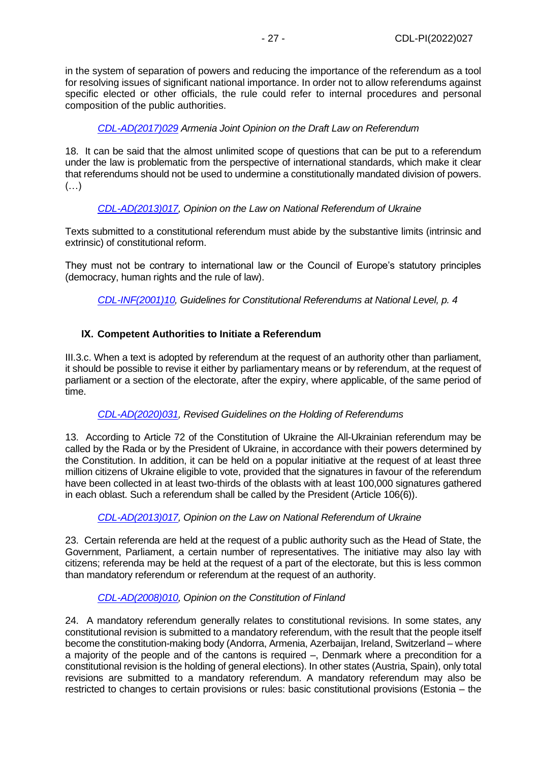in the system of separation of powers and reducing the importance of the referendum as a tool for resolving issues of significant national importance. In order not to allow referendums against specific elected or other officials, the rule could refer to internal procedures and personal composition of the public authorities.

*[CDL-AD\(2017\)029](https://www.venice.coe.int/webforms/documents/default.aspx?pdffile=CDL-AD(2017)029-e) Armenia Joint Opinion on the Draft Law on Referendum*

18. It can be said that the almost unlimited scope of questions that can be put to a referendum under the law is problematic from the perspective of international standards, which make it clear that referendums should not be used to undermine a constitutionally mandated division of powers. (…)

## *[CDL-AD\(2013\)017,](http://www.venice.coe.int/webforms/documents/?pdf=CDL-AD(2013)017-e) Opinion on the Law on National Referendum of Ukraine*

Texts submitted to a constitutional referendum must abide by the substantive limits (intrinsic and extrinsic) of constitutional reform.

They must not be contrary to international law or the Council of Europe's statutory principles (democracy, human rights and the rule of law).

*[CDL-INF\(2001\)10,](http://www.venice.coe.int/webforms/documents/CDL-INF(2001)010-e.aspx) Guidelines for Constitutional Referendums at National Level, p. 4*

## <span id="page-26-0"></span>**IX. Competent Authorities to Initiate a Referendum**

III.3.c. When a text is adopted by referendum at the request of an authority other than parliament, it should be possible to revise it either by parliamentary means or by referendum, at the request of parliament or a section of the electorate, after the expiry, where applicable, of the same period of time.

#### *[CDL-AD\(2020\)031,](https://www.venice.coe.int/webforms/documents/?pdf=CDL-AD(2020)031-e) Revised Guidelines on the Holding of Referendums*

13. According to Article 72 of the Constitution of Ukraine the All-Ukrainian referendum may be called by the Rada or by the President of Ukraine, in accordance with their powers determined by the Constitution. In addition, it can be held on a popular initiative at the request of at least three million citizens of Ukraine eligible to vote, provided that the signatures in favour of the referendum have been collected in at least two-thirds of the oblasts with at least 100,000 signatures gathered in each oblast. Such a referendum shall be called by the President (Article 106(6)).

#### *[CDL-AD\(2013\)017,](http://www.venice.coe.int/webforms/documents/?pdf=CDL-AD(2013)017-e) Opinion on the Law on National Referendum of Ukraine*

23. Certain referenda are held at the request of a public authority such as the Head of State, the Government, Parliament, a certain number of representatives. The initiative may also lay with citizens; referenda may be held at the request of a part of the electorate, but this is less common than mandatory referendum or referendum at the request of an authority.

## *[CDL-AD\(2008\)010,](http://www.venice.coe.int/webforms/documents/?pdf=CDL-AD(2008)010-e) Opinion on the Constitution of Finland*

24. A mandatory referendum generally relates to constitutional revisions. In some states, any constitutional revision is submitted to a mandatory referendum, with the result that the people itself become the constitution-making body (Andorra, Armenia, Azerbaijan, Ireland, Switzerland – where a majority of the people and of the cantons is required –, Denmark where a precondition for a constitutional revision is the holding of general elections). In other states (Austria, Spain), only total revisions are submitted to a mandatory referendum. A mandatory referendum may also be restricted to changes to certain provisions or rules: basic constitutional provisions (Estonia – the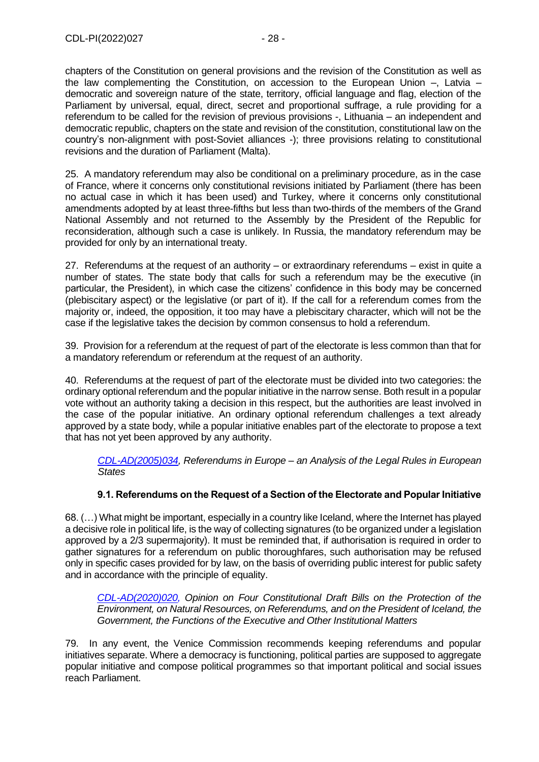chapters of the Constitution on general provisions and the revision of the Constitution as well as the law complementing the Constitution, on accession to the European Union –, Latvia – democratic and sovereign nature of the state, territory, official language and flag, election of the Parliament by universal, equal, direct, secret and proportional suffrage, a rule providing for a referendum to be called for the revision of previous provisions -, Lithuania – an independent and democratic republic, chapters on the state and revision of the constitution, constitutional law on the country's non-alignment with post-Soviet alliances -); three provisions relating to constitutional revisions and the duration of Parliament (Malta).

25. A mandatory referendum may also be conditional on a preliminary procedure, as in the case of France, where it concerns only constitutional revisions initiated by Parliament (there has been no actual case in which it has been used) and Turkey, where it concerns only constitutional amendments adopted by at least three-fifths but less than two-thirds of the members of the Grand National Assembly and not returned to the Assembly by the President of the Republic for reconsideration, although such a case is unlikely. In Russia, the mandatory referendum may be provided for only by an international treaty.

27. Referendums at the request of an authority – or extraordinary referendums – exist in quite a number of states. The state body that calls for such a referendum may be the executive (in particular, the President), in which case the citizens' confidence in this body may be concerned (plebiscitary aspect) or the legislative (or part of it). If the call for a referendum comes from the majority or, indeed, the opposition, it too may have a plebiscitary character, which will not be the case if the legislative takes the decision by common consensus to hold a referendum.

39. Provision for a referendum at the request of part of the electorate is less common than that for a mandatory referendum or referendum at the request of an authority.

40. Referendums at the request of part of the electorate must be divided into two categories: the ordinary optional referendum and the popular initiative in the narrow sense. Both result in a popular vote without an authority taking a decision in this respect, but the authorities are least involved in the case of the popular initiative. An ordinary optional referendum challenges a text already approved by a state body, while a popular initiative enables part of the electorate to propose a text that has not yet been approved by any authority.

*[CDL-AD\(2005\)034,](http://www.venice.coe.int/webforms/documents/?pdf=CDL-AD(2005)034-e) Referendums in Europe – an Analysis of the Legal Rules in European States*

## **9.1. Referendums on the Request of a Section of the Electorate and Popular Initiative**

<span id="page-27-0"></span>68. (…) What might be important, especially in a country like Iceland, where the Internet has played a decisive role in political life, is the way of collecting signatures (to be organized under a legislation approved by a 2/3 supermajority). It must be reminded that, if authorisation is required in order to gather signatures for a referendum on public thoroughfares, such authorisation may be refused only in specific cases provided for by law, on the basis of overriding public interest for public safety and in accordance with the principle of equality.

*[CDL-AD\(2020\)020,](https://www.venice.coe.int/webforms/documents/default.aspx?pdffile=CDL-AD(2020)020-e) Opinion on Four Constitutional Draft Bills on the Protection of the Environment, on Natural Resources, on Referendums, and on the President of Iceland, the Government, the Functions of the Executive and Other Institutional Matters*

79. In any event, the Venice Commission recommends keeping referendums and popular initiatives separate. Where a democracy is functioning, political parties are supposed to aggregate popular initiative and compose political programmes so that important political and social issues reach Parliament.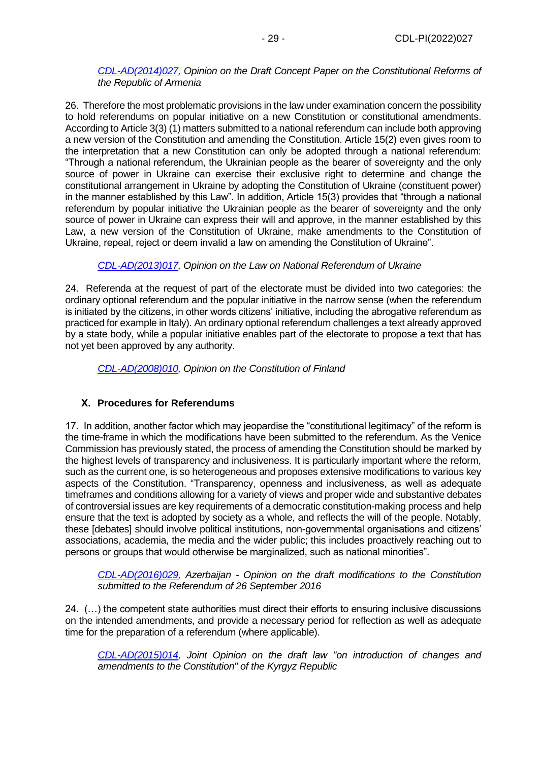## *[CDL-AD\(2014\)027,](http://www.venice.coe.int/webforms/documents/?pdf=CDL-AD(2014)027-e) Opinion on the Draft Concept Paper on the Constitutional Reforms of the Republic of Armenia*

26. Therefore the most problematic provisions in the law under examination concern the possibility to hold referendums on popular initiative on a new Constitution or constitutional amendments. According to Article 3(3) (1) matters submitted to a national referendum can include both approving a new version of the Constitution and amending the Constitution. Article 15(2) even gives room to the interpretation that a new Constitution can only be adopted through a national referendum: "Through a national referendum, the Ukrainian people as the bearer of sovereignty and the only source of power in Ukraine can exercise their exclusive right to determine and change the constitutional arrangement in Ukraine by adopting the Constitution of Ukraine (constituent power) in the manner established by this Law". In addition, Article 15(3) provides that "through a national referendum by popular initiative the Ukrainian people as the bearer of sovereignty and the only source of power in Ukraine can express their will and approve, in the manner established by this Law, a new version of the Constitution of Ukraine, make amendments to the Constitution of Ukraine, repeal, reject or deem invalid a law on amending the Constitution of Ukraine".

# *[CDL-AD\(2013\)017,](http://www.venice.coe.int/webforms/documents/?pdf=CDL-AD(2013)017-e) Opinion on the Law on National Referendum of Ukraine*

24. Referenda at the request of part of the electorate must be divided into two categories: the ordinary optional referendum and the popular initiative in the narrow sense (when the referendum is initiated by the citizens, in other words citizens' initiative, including the abrogative referendum as practiced for example in Italy). An ordinary optional referendum challenges a text already approved by a state body, while a popular initiative enables part of the electorate to propose a text that has not yet been approved by any authority.

*[CDL-AD\(2008\)010,](http://www.venice.coe.int/webforms/documents/?pdf=CDL-AD(2008)010-e) Opinion on the Constitution of Finland*

# <span id="page-28-0"></span>**X. Procedures for Referendums**

17. In addition, another factor which may jeopardise the "constitutional legitimacy" of the reform is the time-frame in which the modifications have been submitted to the referendum. As the Venice Commission has previously stated, the process of amending the Constitution should be marked by the highest levels of transparency and inclusiveness. It is particularly important where the reform, such as the current one, is so heterogeneous and proposes extensive modifications to various key aspects of the Constitution. "Transparency, openness and inclusiveness, as well as adequate timeframes and conditions allowing for a variety of views and proper wide and substantive debates of controversial issues are key requirements of a democratic constitution-making process and help ensure that the text is adopted by society as a whole, and reflects the will of the people. Notably, these [debates] should involve political institutions, non-governmental organisations and citizens' associations, academia, the media and the wider public; this includes proactively reaching out to persons or groups that would otherwise be marginalized, such as national minorities".

*[CDL-AD\(2016\)029,](http://venice.coe.int/webforms/documents/?pdf=CDL-AD(2016)029-e) Azerbaijan - Opinion on the draft modifications to the Constitution submitted to the Referendum of 26 September 2016*

24. (…) the competent state authorities must direct their efforts to ensuring inclusive discussions on the intended amendments, and provide a necessary period for reflection as well as adequate time for the preparation of a referendum (where applicable).

*[CDL-AD\(2015\)014,](http://www.venice.coe.int/webforms/documents/?pdf=CDL-AD(2015)014-e) Joint Opinion on the draft law "on introduction of changes and amendments to the Constitution" of the Kyrgyz Republic*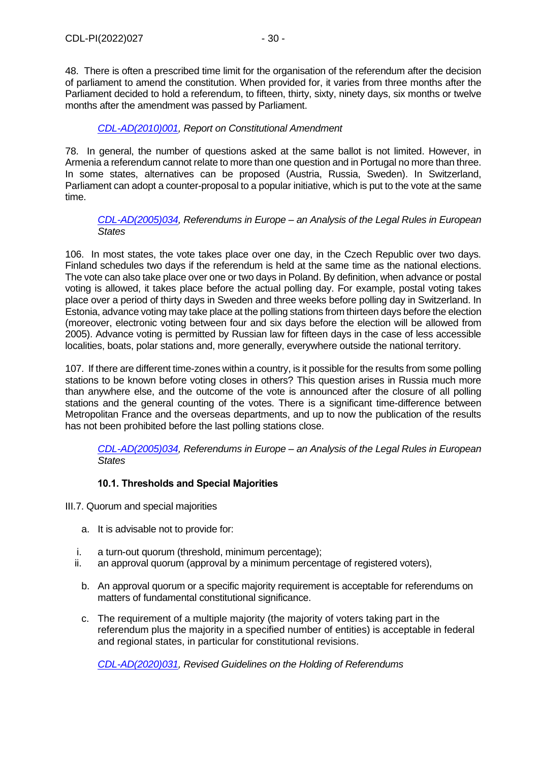48. There is often a prescribed time limit for the organisation of the referendum after the decision of parliament to amend the constitution. When provided for, it varies from three months after the Parliament decided to hold a referendum, to fifteen, thirty, sixty, ninety days, six months or twelve months after the amendment was passed by Parliament.

## *[CDL-AD\(2010\)001,](http://www.venice.coe.int/webforms/documents/?pdf=CDL-AD(2010)001-e) Report on Constitutional Amendment*

78. In general, the number of questions asked at the same ballot is not limited. However, in Armenia a referendum cannot relate to more than one question and in Portugal no more than three. In some states, alternatives can be proposed (Austria, Russia, Sweden). In Switzerland, Parliament can adopt a counter-proposal to a popular initiative, which is put to the vote at the same time.

## *[CDL-AD\(2005\)034,](http://www.venice.coe.int/webforms/documents/?pdf=CDL-AD(2005)034-e) Referendums in Europe – an Analysis of the Legal Rules in European States*

106. In most states, the vote takes place over one day, in the Czech Republic over two days. Finland schedules two days if the referendum is held at the same time as the national elections. The vote can also take place over one or two days in Poland. By definition, when advance or postal voting is allowed, it takes place before the actual polling day. For example, postal voting takes place over a period of thirty days in Sweden and three weeks before polling day in Switzerland. In Estonia, advance voting may take place at the polling stations from thirteen days before the election (moreover, electronic voting between four and six days before the election will be allowed from 2005). Advance voting is permitted by Russian law for fifteen days in the case of less accessible localities, boats, polar stations and, more generally, everywhere outside the national territory.

107. If there are different time-zones within a country, is it possible for the results from some polling stations to be known before voting closes in others? This question arises in Russia much more than anywhere else, and the outcome of the vote is announced after the closure of all polling stations and the general counting of the votes. There is a significant time-difference between Metropolitan France and the overseas departments, and up to now the publication of the results has not been prohibited before the last polling stations close.

*[CDL-AD\(2005\)034,](http://www.venice.coe.int/webforms/documents/?pdf=CDL-AD(2005)034-e) Referendums in Europe – an Analysis of the Legal Rules in European States*

## **10.1. Thresholds and Special Majorities**

<span id="page-29-0"></span>III.7. Quorum and special majorities

- a. It is advisable not to provide for:
- i. a turn-out quorum (threshold, minimum percentage);
- ii. an approval quorum (approval by a minimum percentage of registered voters),
	- b. An approval quorum or a specific majority requirement is acceptable for referendums on matters of fundamental constitutional significance.
	- c. The requirement of a multiple majority (the majority of voters taking part in the referendum plus the majority in a specified number of entities) is acceptable in federal and regional states, in particular for constitutional revisions.

*[CDL-AD\(2020\)031,](https://www.venice.coe.int/webforms/documents/?pdf=CDL-AD(2020)031-e) Revised Guidelines on the Holding of Referendums*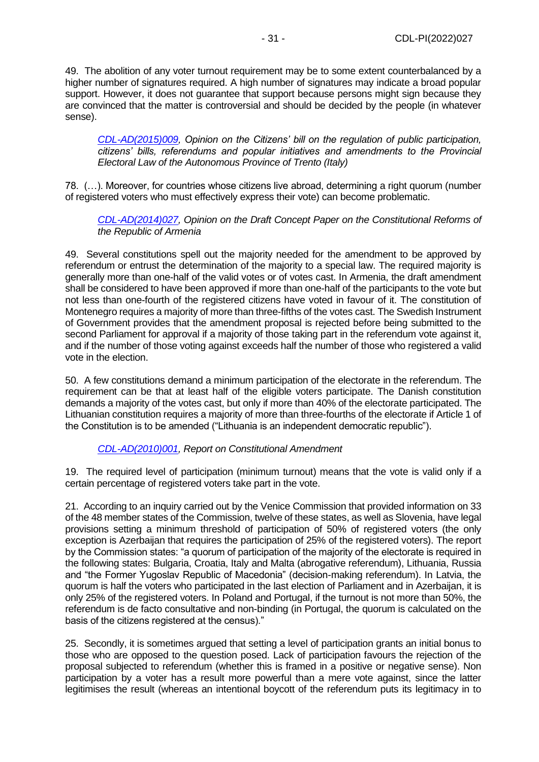49. The abolition of any voter turnout requirement may be to some extent counterbalanced by a higher number of signatures required. A high number of signatures may indicate a broad popular support. However, it does not guarantee that support because persons might sign because they are convinced that the matter is controversial and should be decided by the people (in whatever sense).

*[CDL-AD\(2015\)009,](http://www.venice.coe.int/webforms/documents/?pdf=CDL-AD(2015)009-e) Opinion on the Citizens' bill on the regulation of public participation, citizens' bills, referendums and popular initiatives and amendments to the Provincial Electoral Law of the Autonomous Province of Trento (Italy)*

78. (…). Moreover, for countries whose citizens live abroad, determining a right quorum (number of registered voters who must effectively express their vote) can become problematic.

*[CDL-AD\(2014\)027,](http://www.venice.coe.int/webforms/documents/?pdf=CDL-AD(2014)027-e) Opinion on the Draft Concept Paper on the Constitutional Reforms of the Republic of Armenia*

49. Several constitutions spell out the majority needed for the amendment to be approved by referendum or entrust the determination of the majority to a special law. The required majority is generally more than one-half of the valid votes or of votes cast. In Armenia, the draft amendment shall be considered to have been approved if more than one-half of the participants to the vote but not less than one-fourth of the registered citizens have voted in favour of it. The constitution of Montenegro requires a majority of more than three-fifths of the votes cast. The Swedish Instrument of Government provides that the amendment proposal is rejected before being submitted to the second Parliament for approval if a majority of those taking part in the referendum vote against it, and if the number of those voting against exceeds half the number of those who registered a valid vote in the election.

50. A few constitutions demand a minimum participation of the electorate in the referendum. The requirement can be that at least half of the eligible voters participate. The Danish constitution demands a majority of the votes cast, but only if more than 40% of the electorate participated. The Lithuanian constitution requires a majority of more than three-fourths of the electorate if Article 1 of the Constitution is to be amended ("Lithuania is an independent democratic republic").

## *[CDL-AD\(2010\)001,](http://www.venice.coe.int/webforms/documents/?pdf=CDL-AD(2010)001-e) Report on Constitutional Amendment*

19. The required level of participation (minimum turnout) means that the vote is valid only if a certain percentage of registered voters take part in the vote.

21. According to an inquiry carried out by the Venice Commission that provided information on 33 of the 48 member states of the Commission, twelve of these states, as well as Slovenia, have legal provisions setting a minimum threshold of participation of 50% of registered voters (the only exception is Azerbaijan that requires the participation of 25% of the registered voters). The report by the Commission states: "a quorum of participation of the majority of the electorate is required in the following states: Bulgaria, Croatia, Italy and Malta (abrogative referendum), Lithuania, Russia and "the Former Yugoslav Republic of Macedonia" (decision-making referendum). In Latvia, the quorum is half the voters who participated in the last election of Parliament and in Azerbaijan, it is only 25% of the registered voters. In Poland and Portugal, if the turnout is not more than 50%, the referendum is de facto consultative and non-binding (in Portugal, the quorum is calculated on the basis of the citizens registered at the census)."

25. Secondly, it is sometimes argued that setting a level of participation grants an initial bonus to those who are opposed to the question posed. Lack of participation favours the rejection of the proposal subjected to referendum (whether this is framed in a positive or negative sense). Non participation by a voter has a result more powerful than a mere vote against, since the latter legitimises the result (whereas an intentional boycott of the referendum puts its legitimacy in to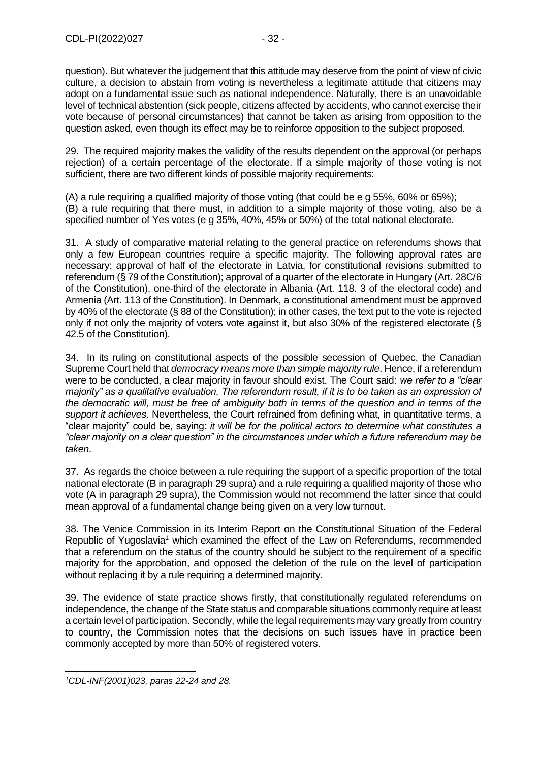question). But whatever the judgement that this attitude may deserve from the point of view of civic culture, a decision to abstain from voting is nevertheless a legitimate attitude that citizens may adopt on a fundamental issue such as national independence. Naturally, there is an unavoidable level of technical abstention (sick people, citizens affected by accidents, who cannot exercise their vote because of personal circumstances) that cannot be taken as arising from opposition to the question asked, even though its effect may be to reinforce opposition to the subject proposed.

29. The required majority makes the validity of the results dependent on the approval (or perhaps rejection) of a certain percentage of the electorate. If a simple majority of those voting is not sufficient, there are two different kinds of possible majority requirements:

(A) a rule requiring a qualified majority of those voting (that could be e g 55%, 60% or 65%); (B) a rule requiring that there must, in addition to a simple majority of those voting, also be a specified number of Yes votes (e g 35%, 40%, 45% or 50%) of the total national electorate.

31. A study of comparative material relating to the general practice on referendums shows that only a few European countries require a specific majority. The following approval rates are necessary: approval of half of the electorate in Latvia, for constitutional revisions submitted to referendum (§ 79 of the Constitution); approval of a quarter of the electorate in Hungary (Art. 28C/6 of the Constitution), one-third of the electorate in Albania (Art. 118. 3 of the electoral code) and Armenia (Art. 113 of the Constitution). In Denmark, a constitutional amendment must be approved by 40% of the electorate (§ 88 of the Constitution); in other cases, the text put to the vote is rejected only if not only the majority of voters vote against it, but also 30% of the registered electorate (§ 42.5 of the Constitution).

34. In its ruling on constitutional aspects of the possible secession of Quebec, the Canadian Supreme Court held that *democracy means more than simple majority rule*. Hence, if a referendum were to be conducted, a clear majority in favour should exist. The Court said: *we refer to a "clear majority" as a qualitative evaluation. The referendum result, if it is to be taken as an expression of the democratic will, must be free of ambiguity both in terms of the question and in terms of the support it achieves*. Nevertheless, the Court refrained from defining what, in quantitative terms, a "clear majority" could be, saying: *it will be for the political actors to determine what constitutes a "clear majority on a clear question" in the circumstances under which a future referendum may be taken*.

37. As regards the choice between a rule requiring the support of a specific proportion of the total national electorate (B in paragraph 29 supra) and a rule requiring a qualified majority of those who vote (A in paragraph 29 supra), the Commission would not recommend the latter since that could mean approval of a fundamental change being given on a very low turnout.

38. The Venice Commission in its Interim Report on the Constitutional Situation of the Federal Republic of Yugoslavia<sup>1</sup> which examined the effect of the Law on Referendums, recommended that a referendum on the status of the country should be subject to the requirement of a specific majority for the approbation, and opposed the deletion of the rule on the level of participation without replacing it by a rule requiring a determined majority.

39. The evidence of state practice shows firstly, that constitutionally regulated referendums on independence, the change of the State status and comparable situations commonly require at least a certain level of participation. Secondly, while the legal requirements may vary greatly from country to country, the Commission notes that the decisions on such issues have in practice been commonly accepted by more than 50% of registered voters.

*<sup>1</sup>CDL-INF(2001)023, paras 22-24 and 28.*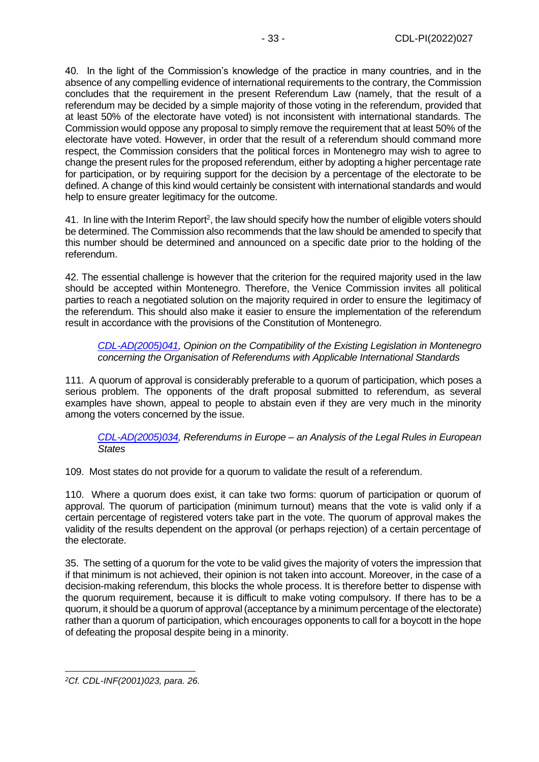40. In the light of the Commission's knowledge of the practice in many countries, and in the absence of any compelling evidence of international requirements to the contrary, the Commission concludes that the requirement in the present Referendum Law (namely, that the result of a referendum may be decided by a simple majority of those voting in the referendum, provided that at least 50% of the electorate have voted) is not inconsistent with international standards. The Commission would oppose any proposal to simply remove the requirement that at least 50% of the electorate have voted. However, in order that the result of a referendum should command more respect, the Commission considers that the political forces in Montenegro may wish to agree to change the present rules for the proposed referendum, either by adopting a higher percentage rate for participation, or by requiring support for the decision by a percentage of the electorate to be defined. A change of this kind would certainly be consistent with international standards and would help to ensure greater legitimacy for the outcome.

41. In line with the Interim Report<sup>2</sup>, the law should specify how the number of eligible voters should be determined. The Commission also recommends that the law should be amended to specify that this number should be determined and announced on a specific date prior to the holding of the referendum.

42. The essential challenge is however that the criterion for the required majority used in the law should be accepted within Montenegro. Therefore, the Venice Commission invites all political parties to reach a negotiated solution on the majority required in order to ensure the legitimacy of the referendum. This should also make it easier to ensure the implementation of the referendum result in accordance with the provisions of the Constitution of Montenegro.

*[CDL-AD\(2005\)041,](http://www.venice.coe.int/webforms/documents/CDL-AD(2005)041-e.aspx) Opinion on the Compatibility of the Existing Legislation in Montenegro concerning the Organisation of Referendums with Applicable International Standards*

111. A quorum of approval is considerably preferable to a quorum of participation, which poses a serious problem. The opponents of the draft proposal submitted to referendum, as several examples have shown, appeal to people to abstain even if they are very much in the minority among the voters concerned by the issue.

*[CDL-AD\(2005\)034,](http://www.venice.coe.int/webforms/documents/?pdf=CDL-AD(2005)034-e) Referendums in Europe – an Analysis of the Legal Rules in European States*

109. Most states do not provide for a quorum to validate the result of a referendum.

110. Where a quorum does exist, it can take two forms: quorum of participation or quorum of approval. The quorum of participation (minimum turnout) means that the vote is valid only if a certain percentage of registered voters take part in the vote. The quorum of approval makes the validity of the results dependent on the approval (or perhaps rejection) of a certain percentage of the electorate.

35. The setting of a quorum for the vote to be valid gives the majority of voters the impression that if that minimum is not achieved, their opinion is not taken into account. Moreover, in the case of a decision-making referendum, this blocks the whole process. It is therefore better to dispense with the quorum requirement, because it is difficult to make voting compulsory. If there has to be a quorum, it should be a quorum of approval (acceptance by a minimum percentage of the electorate) rather than a quorum of participation, which encourages opponents to call for a boycott in the hope of defeating the proposal despite being in a minority.

*<sup>2</sup>Cf. CDL-INF(2001)023, para. 26.*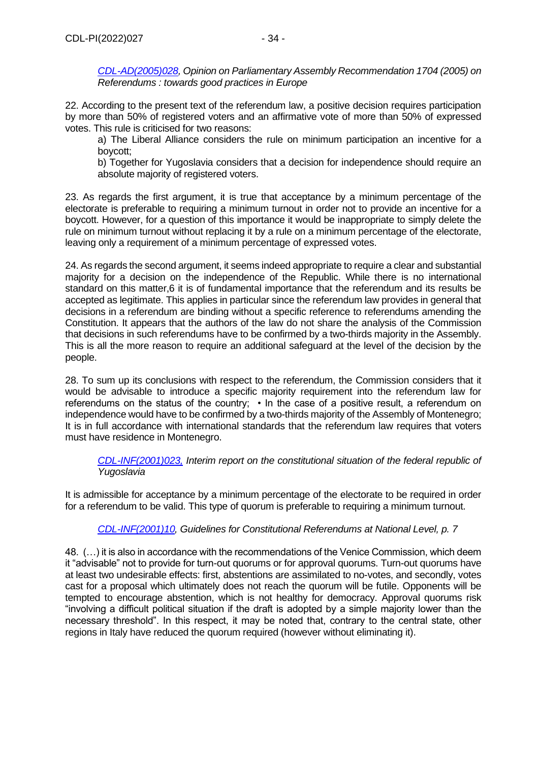22. According to the present text of the referendum law, a positive decision requires participation by more than 50% of registered voters and an affirmative vote of more than 50% of expressed votes. This rule is criticised for two reasons:

a) The Liberal Alliance considers the rule on minimum participation an incentive for a boycott;

b) Together for Yugoslavia considers that a decision for independence should require an absolute majority of registered voters.

23. As regards the first argument, it is true that acceptance by a minimum percentage of the electorate is preferable to requiring a minimum turnout in order not to provide an incentive for a boycott. However, for a question of this importance it would be inappropriate to simply delete the rule on minimum turnout without replacing it by a rule on a minimum percentage of the electorate, leaving only a requirement of a minimum percentage of expressed votes.

24. As regards the second argument, it seems indeed appropriate to require a clear and substantial majority for a decision on the independence of the Republic. While there is no international standard on this matter,6 it is of fundamental importance that the referendum and its results be accepted as legitimate. This applies in particular since the referendum law provides in general that decisions in a referendum are binding without a specific reference to referendums amending the Constitution. It appears that the authors of the law do not share the analysis of the Commission that decisions in such referendums have to be confirmed by a two-thirds majority in the Assembly. This is all the more reason to require an additional safeguard at the level of the decision by the people.

28. To sum up its conclusions with respect to the referendum, the Commission considers that it would be advisable to introduce a specific majority requirement into the referendum law for referendums on the status of the country; • In the case of a positive result, a referendum on independence would have to be confirmed by a two-thirds majority of the Assembly of Montenegro; It is in full accordance with international standards that the referendum law requires that voters must have residence in Montenegro.

*[CDL-INF\(2001\)023,](https://vensite-backoffice.coe.int/WebForms/pdf.aspx?ref=CDL-INF(2001)023-e&year=2001) Interim report on the constitutional situation of the federal republic of Yugoslavia*

It is admissible for acceptance by a minimum percentage of the electorate to be required in order for a referendum to be valid. This type of quorum is preferable to requiring a minimum turnout.

# *[CDL-INF\(2001\)10,](http://www.venice.coe.int/webforms/documents/CDL-INF(2001)010-e.aspx) Guidelines for Constitutional Referendums at National Level, p. 7*

48. (…) it is also in accordance with the recommendations of the Venice Commission, which deem it "advisable" not to provide for turn-out quorums or for approval quorums. Turn-out quorums have at least two undesirable effects: first, abstentions are assimilated to no-votes, and secondly, votes cast for a proposal which ultimately does not reach the quorum will be futile. Opponents will be tempted to encourage abstention, which is not healthy for democracy. Approval quorums risk "involving a difficult political situation if the draft is adopted by a simple majority lower than the necessary threshold". In this respect, it may be noted that, contrary to the central state, other regions in Italy have reduced the quorum required (however without eliminating it).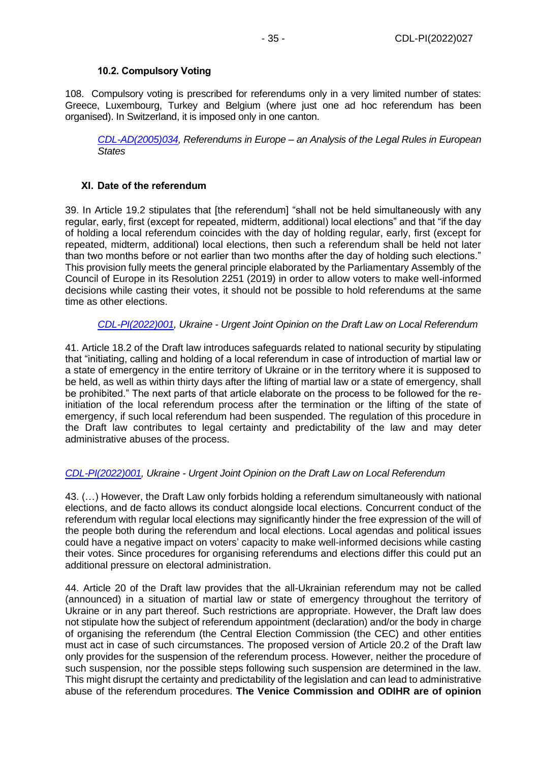## **10.2. Compulsory Voting**

<span id="page-34-0"></span>108. Compulsory voting is prescribed for referendums only in a very limited number of states: Greece, Luxembourg, Turkey and Belgium (where just one ad hoc referendum has been organised). In Switzerland, it is imposed only in one canton.

*[CDL-AD\(2005\)034,](http://www.venice.coe.int/webforms/documents/?pdf=CDL-AD(2005)034-e) Referendums in Europe – an Analysis of the Legal Rules in European States*

# <span id="page-34-1"></span>**XI. Date of the referendum**

39. In Article 19.2 stipulates that [the referendum] "shall not be held simultaneously with any regular, early, first (except for repeated, midterm, additional) local elections" and that "if the day of holding a local referendum coincides with the day of holding regular, early, first (except for repeated, midterm, additional) local elections, then such a referendum shall be held not later than two months before or not earlier than two months after the day of holding such elections." This provision fully meets the general principle elaborated by the Parliamentary Assembly of the Council of Europe in its Resolution 2251 (2019) in order to allow voters to make well-informed decisions while casting their votes, it should not be possible to hold referendums at the same time as other elections.

# *[CDL-PI\(2022\)001,](https://www.venice.coe.int/webforms/documents/default.aspx?pdffile=CDL-PI(2022)001-e) Ukraine - Urgent Joint Opinion on the Draft Law on Local Referendum*

41. Article 18.2 of the Draft law introduces safeguards related to national security by stipulating that "initiating, calling and holding of a local referendum in case of introduction of martial law or a state of emergency in the entire territory of Ukraine or in the territory where it is supposed to be held, as well as within thirty days after the lifting of martial law or a state of emergency, shall be prohibited." The next parts of that article elaborate on the process to be followed for the reinitiation of the local referendum process after the termination or the lifting of the state of emergency, if such local referendum had been suspended. The regulation of this procedure in the Draft law contributes to legal certainty and predictability of the law and may deter administrative abuses of the process.

## *[CDL-PI\(2022\)001,](https://www.venice.coe.int/webforms/documents/default.aspx?pdffile=CDL-PI(2022)001-e) Ukraine - Urgent Joint Opinion on the Draft Law on Local Referendum*

43. (…) However, the Draft Law only forbids holding a referendum simultaneously with national elections, and de facto allows its conduct alongside local elections. Concurrent conduct of the referendum with regular local elections may significantly hinder the free expression of the will of the people both during the referendum and local elections. Local agendas and political issues could have a negative impact on voters' capacity to make well-informed decisions while casting their votes. Since procedures for organising referendums and elections differ this could put an additional pressure on electoral administration.

44. Article 20 of the Draft law provides that the all-Ukrainian referendum may not be called (announced) in a situation of martial law or state of emergency throughout the territory of Ukraine or in any part thereof. Such restrictions are appropriate. However, the Draft law does not stipulate how the subject of referendum appointment (declaration) and/or the body in charge of organising the referendum (the Central Election Commission (the CEC) and other entities must act in case of such circumstances. The proposed version of Article 20.2 of the Draft law only provides for the suspension of the referendum process. However, neither the procedure of such suspension, nor the possible steps following such suspension are determined in the law. This might disrupt the certainty and predictability of the legislation and can lead to administrative abuse of the referendum procedures. **The Venice Commission and ODIHR are of opinion**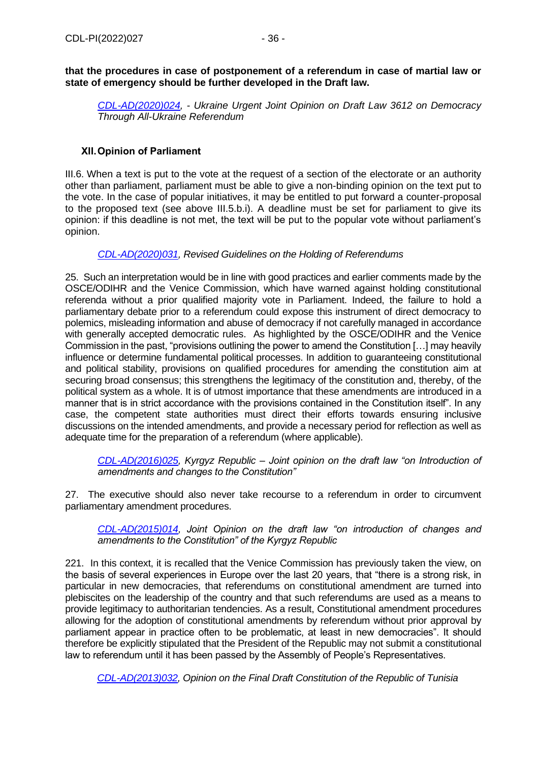## **that the procedures in case of postponement of a referendum in case of martial law or state of emergency should be further developed in the Draft law.**

*[CDL-AD\(2020\)024,](https://www.venice.coe.int/webforms/documents/default.aspx?pdffile=CDL-AD(2020)024-e) - Ukraine Urgent Joint Opinion on Draft Law 3612 on Democracy Through All-Ukraine Referendum*

# <span id="page-35-0"></span>**XII.Opinion of Parliament**

III.6. When a text is put to the vote at the request of a section of the electorate or an authority other than parliament, parliament must be able to give a non-binding opinion on the text put to the vote. In the case of popular initiatives, it may be entitled to put forward a counter-proposal to the proposed text (see above III.5.b.i). A deadline must be set for parliament to give its opinion: if this deadline is not met, the text will be put to the popular vote without parliament's opinion.

## *[CDL-AD\(2020\)031,](https://www.venice.coe.int/webforms/documents/?pdf=CDL-AD(2020)031-e) Revised Guidelines on the Holding of Referendums*

25. Such an interpretation would be in line with good practices and earlier comments made by the OSCE/ODIHR and the Venice Commission, which have warned against holding constitutional referenda without a prior qualified majority vote in Parliament. Indeed, the failure to hold a parliamentary debate prior to a referendum could expose this instrument of direct democracy to polemics, misleading information and abuse of democracy if not carefully managed in accordance with generally accepted democratic rules. As highlighted by the OSCE/ODIHR and the Venice Commission in the past, "provisions outlining the power to amend the Constitution […] may heavily influence or determine fundamental political processes. In addition to guaranteeing constitutional and political stability, provisions on qualified procedures for amending the constitution aim at securing broad consensus; this strengthens the legitimacy of the constitution and, thereby, of the political system as a whole. It is of utmost importance that these amendments are introduced in a manner that is in strict accordance with the provisions contained in the Constitution itself". In any case, the competent state authorities must direct their efforts towards ensuring inclusive discussions on the intended amendments, and provide a necessary period for reflection as well as adequate time for the preparation of a referendum (where applicable).

*[CDL-AD\(2016\)025,](http://www.venice.coe.int/webforms/documents/?pdf=CDL-AD(2016)025-e) Kyrgyz Republic – Joint opinion on the draft law "on Introduction of amendments and changes to the Constitution"*

27. The executive should also never take recourse to a referendum in order to circumvent parliamentary amendment procedures.

*[CDL-AD\(2015\)014,](http://www.venice.coe.int/webforms/documents/?pdf=CDL-AD(2015)014-e) Joint Opinion on the draft law "on introduction of changes and amendments to the Constitution" of the Kyrgyz Republic*

221. In this context, it is recalled that the Venice Commission has previously taken the view, on the basis of several experiences in Europe over the last 20 years, that "there is a strong risk, in particular in new democracies, that referendums on constitutional amendment are turned into plebiscites on the leadership of the country and that such referendums are used as a means to provide legitimacy to authoritarian tendencies. As a result, Constitutional amendment procedures allowing for the adoption of constitutional amendments by referendum without prior approval by parliament appear in practice often to be problematic, at least in new democracies". It should therefore be explicitly stipulated that the President of the Republic may not submit a constitutional law to referendum until it has been passed by the Assembly of People's Representatives.

*[CDL-AD\(2013\)032,](http://www.venice.coe.int/webforms/documents/?pdf=CDL-AD(2013)032-e) Opinion on the Final Draft Constitution of the Republic of Tunisia*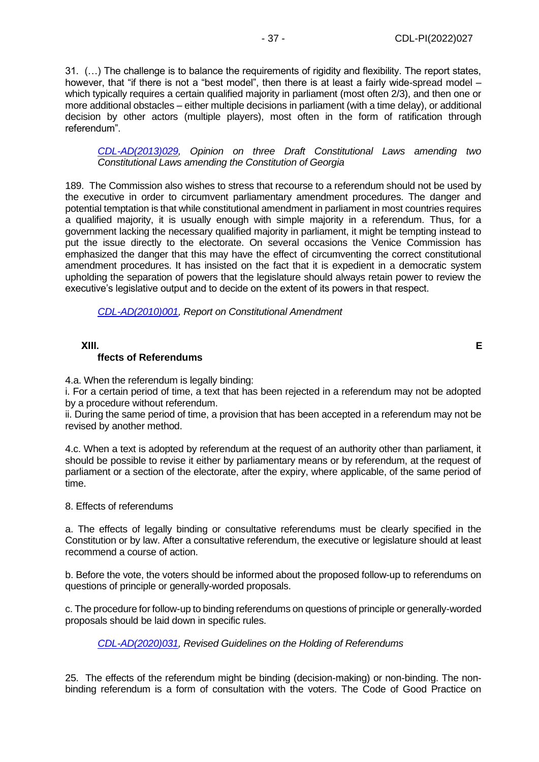31. (…) The challenge is to balance the requirements of rigidity and flexibility. The report states, however, that "if there is not a "best model", then there is at least a fairly wide-spread model – which typically requires a certain qualified majority in parliament (most often 2/3), and then one or more additional obstacles – either multiple decisions in parliament (with a time delay), or additional decision by other actors (multiple players), most often in the form of ratification through referendum".

*[CDL-AD\(2013\)029,](http://www.venice.coe.int/webforms/documents/?pdf=CDL-AD(2013)029-e) Opinion on three Draft Constitutional Laws amending two Constitutional Laws amending the Constitution of Georgia*

189. The Commission also wishes to stress that recourse to a referendum should not be used by the executive in order to circumvent parliamentary amendment procedures. The danger and potential temptation is that while constitutional amendment in parliament in most countries requires a qualified majority, it is usually enough with simple majority in a referendum. Thus, for a government lacking the necessary qualified majority in parliament, it might be tempting instead to put the issue directly to the electorate. On several occasions the Venice Commission has emphasized the danger that this may have the effect of circumventing the correct constitutional amendment procedures. It has insisted on the fact that it is expedient in a democratic system upholding the separation of powers that the legislature should always retain power to review the executive's legislative output and to decide on the extent of its powers in that respect.

*[CDL-AD\(2010\)001,](http://www.venice.coe.int/webforms/documents/?pdf=CDL-AD(2010)001-e) Report on Constitutional Amendment*

## <span id="page-36-0"></span>**XIII. E**

## **ffects of Referendums**

4.a. When the referendum is legally binding:

i. For a certain period of time, a text that has been rejected in a referendum may not be adopted by a procedure without referendum.

ii. During the same period of time, a provision that has been accepted in a referendum may not be revised by another method.

4.c. When a text is adopted by referendum at the request of an authority other than parliament, it should be possible to revise it either by parliamentary means or by referendum, at the request of parliament or a section of the electorate, after the expiry, where applicable, of the same period of time.

#### 8. Effects of referendums

a. The effects of legally binding or consultative referendums must be clearly specified in the Constitution or by law. After a consultative referendum, the executive or legislature should at least recommend a course of action.

b. Before the vote, the voters should be informed about the proposed follow-up to referendums on questions of principle or generally-worded proposals.

c. The procedure for follow-up to binding referendums on questions of principle or generally-worded proposals should be laid down in specific rules.

*[CDL-AD\(2020\)031,](https://www.venice.coe.int/webforms/documents/?pdf=CDL-AD(2020)031-e) Revised Guidelines on the Holding of Referendums*

25. The effects of the referendum might be binding (decision-making) or non-binding. The nonbinding referendum is a form of consultation with the voters. The Code of Good Practice on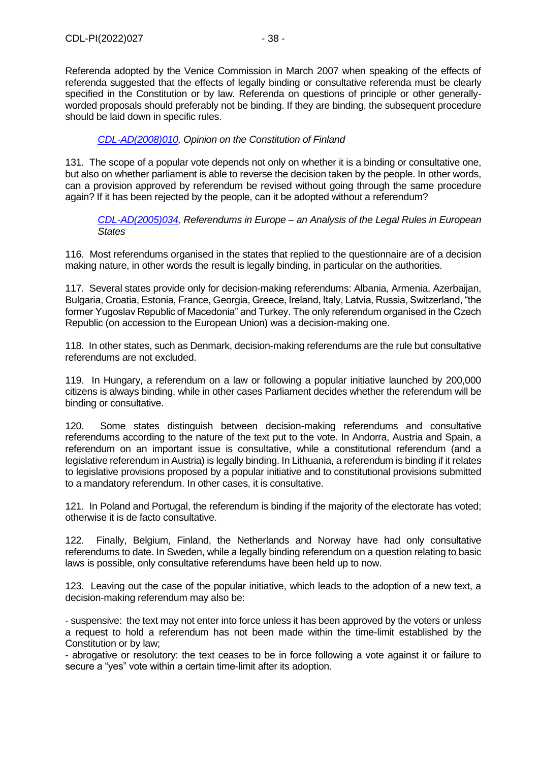Referenda adopted by the Venice Commission in March 2007 when speaking of the effects of referenda suggested that the effects of legally binding or consultative referenda must be clearly specified in the Constitution or by law. Referenda on questions of principle or other generallyworded proposals should preferably not be binding. If they are binding, the subsequent procedure should be laid down in specific rules.

## *[CDL-AD\(2008\)010,](http://www.venice.coe.int/webforms/documents/?pdf=CDL-AD(2008)010-e) Opinion on the Constitution of Finland*

131. The scope of a popular vote depends not only on whether it is a binding or consultative one, but also on whether parliament is able to reverse the decision taken by the people. In other words, can a provision approved by referendum be revised without going through the same procedure again? If it has been rejected by the people, can it be adopted without a referendum?

*[CDL-AD\(2005\)034,](http://www.venice.coe.int/webforms/documents/?pdf=CDL-AD(2005)034-e) Referendums in Europe – an Analysis of the Legal Rules in European States*

116. Most referendums organised in the states that replied to the questionnaire are of a decision making nature, in other words the result is legally binding, in particular on the authorities.

117. Several states provide only for decision-making referendums: Albania, Armenia, Azerbaijan, Bulgaria, Croatia, Estonia, France, Georgia, Greece, Ireland, Italy, Latvia, Russia, Switzerland, "the former Yugoslav Republic of Macedonia" and Turkey. The only referendum organised in the Czech Republic (on accession to the European Union) was a decision-making one.

118. In other states, such as Denmark, decision-making referendums are the rule but consultative referendums are not excluded.

119. In Hungary, a referendum on a law or following a popular initiative launched by 200,000 citizens is always binding, while in other cases Parliament decides whether the referendum will be binding or consultative.

120. Some states distinguish between decision-making referendums and consultative referendums according to the nature of the text put to the vote. In Andorra, Austria and Spain, a referendum on an important issue is consultative, while a constitutional referendum (and a legislative referendum in Austria) is legally binding. In Lithuania, a referendum is binding if it relates to legislative provisions proposed by a popular initiative and to constitutional provisions submitted to a mandatory referendum. In other cases, it is consultative.

121. In Poland and Portugal, the referendum is binding if the majority of the electorate has voted; otherwise it is de facto consultative.

122. Finally, Belgium, Finland, the Netherlands and Norway have had only consultative referendums to date. In Sweden, while a legally binding referendum on a question relating to basic laws is possible, only consultative referendums have been held up to now.

123. Leaving out the case of the popular initiative, which leads to the adoption of a new text, a decision-making referendum may also be:

- suspensive: the text may not enter into force unless it has been approved by the voters or unless a request to hold a referendum has not been made within the time-limit established by the Constitution or by law;

- abrogative or resolutory: the text ceases to be in force following a vote against it or failure to secure a "yes" vote within a certain time-limit after its adoption.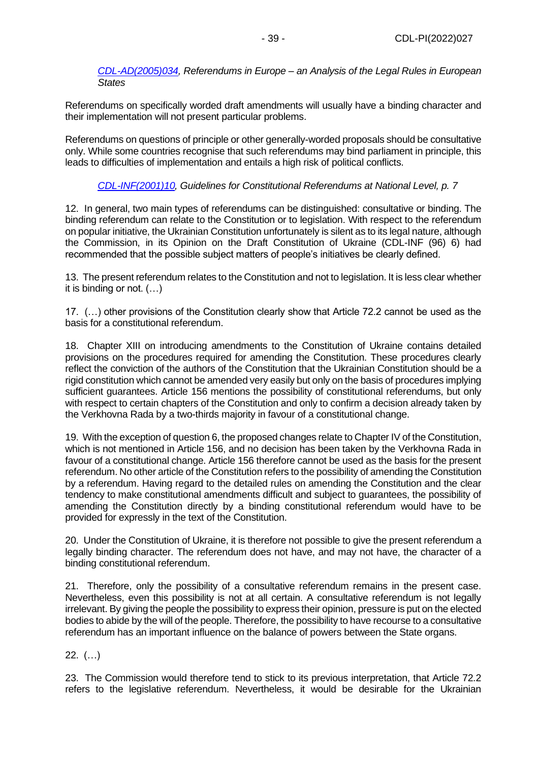*[CDL-AD\(2005\)034,](http://www.venice.coe.int/webforms/documents/?pdf=CDL-AD(2005)034-e) Referendums in Europe – an Analysis of the Legal Rules in European States*

Referendums on specifically worded draft amendments will usually have a binding character and their implementation will not present particular problems.

Referendums on questions of principle or other generally-worded proposals should be consultative only. While some countries recognise that such referendums may bind parliament in principle, this leads to difficulties of implementation and entails a high risk of political conflicts.

# *[CDL-INF\(2001\)10,](http://www.venice.coe.int/webforms/documents/CDL-INF(2001)010-e.aspx) Guidelines for Constitutional Referendums at National Level, p. 7*

12. In general, two main types of referendums can be distinguished: consultative or binding. The binding referendum can relate to the Constitution or to legislation. With respect to the referendum on popular initiative, the Ukrainian Constitution unfortunately is silent as to its legal nature, although the Commission, in its Opinion on the Draft Constitution of Ukraine (CDL-INF (96) 6) had recommended that the possible subject matters of people's initiatives be clearly defined.

13. The present referendum relates to the Constitution and not to legislation. It is less clear whether it is binding or not. (…)

17. (…) other provisions of the Constitution clearly show that Article 72.2 cannot be used as the basis for a constitutional referendum.

18. Chapter XIII on introducing amendments to the Constitution of Ukraine contains detailed provisions on the procedures required for amending the Constitution. These procedures clearly reflect the conviction of the authors of the Constitution that the Ukrainian Constitution should be a rigid constitution which cannot be amended very easily but only on the basis of procedures implying sufficient guarantees. Article 156 mentions the possibility of constitutional referendums, but only with respect to certain chapters of the Constitution and only to confirm a decision already taken by the Verkhovna Rada by a two-thirds majority in favour of a constitutional change.

19. With the exception of question 6, the proposed changes relate to Chapter IV of the Constitution, which is not mentioned in Article 156, and no decision has been taken by the Verkhovna Rada in favour of a constitutional change. Article 156 therefore cannot be used as the basis for the present referendum. No other article of the Constitution refers to the possibility of amending the Constitution by a referendum. Having regard to the detailed rules on amending the Constitution and the clear tendency to make constitutional amendments difficult and subject to guarantees, the possibility of amending the Constitution directly by a binding constitutional referendum would have to be provided for expressly in the text of the Constitution.

20. Under the Constitution of Ukraine, it is therefore not possible to give the present referendum a legally binding character. The referendum does not have, and may not have, the character of a binding constitutional referendum.

21. Therefore, only the possibility of a consultative referendum remains in the present case. Nevertheless, even this possibility is not at all certain. A consultative referendum is not legally irrelevant. By giving the people the possibility to express their opinion, pressure is put on the elected bodies to abide by the will of the people. Therefore, the possibility to have recourse to a consultative referendum has an important influence on the balance of powers between the State organs.

 $22.$   $($ ...)

23. The Commission would therefore tend to stick to its previous interpretation, that Article 72.2 refers to the legislative referendum. Nevertheless, it would be desirable for the Ukrainian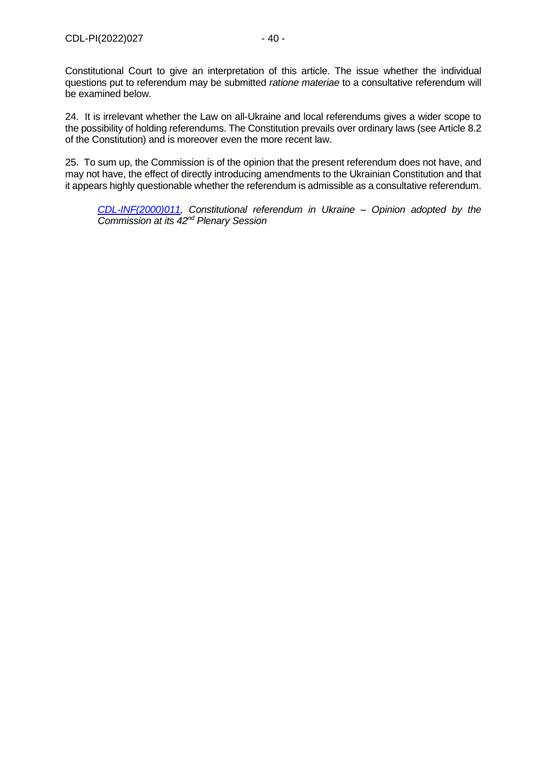Constitutional Court to give an interpretation of this article. The issue whether the individual questions put to referendum may be submitted *ratione materiae* to a consultative referendum will be examined below.

24. It is irrelevant whether the Law on all-Ukraine and local referendums gives a wider scope to the possibility of holding referendums. The Constitution prevails over ordinary laws (see Article 8.2 of the Constitution) and is moreover even the more recent law.

25. To sum up, the Commission is of the opinion that the present referendum does not have, and may not have, the effect of directly introducing amendments to the Ukrainian Constitution and that it appears highly questionable whether the referendum is admissible as a consultative referendum.

*[CDL-INF\(2000\)011,](http://www.venice.coe.int/webforms/documents/default.aspx?pdffile=CDL-INF(2000)011-e) Constitutional referendum in Ukraine – Opinion adopted by the Commission at its 42nd Plenary Session*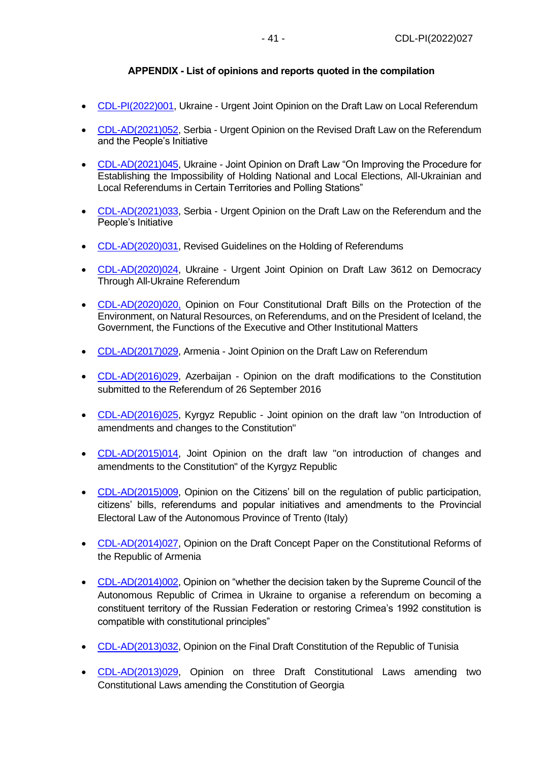# **APPENDIX - List of opinions and reports quoted in the compilation**

- <span id="page-40-0"></span>• [CDL-PI\(2022\)001,](https://www.venice.coe.int/webforms/documents/default.aspx?pdffile=CDL-PI(2022)001-e) Ukraine - Urgent Joint Opinion on the Draft Law on Local Referendum
- [CDL-AD\(2021\)052,](https://www.venice.coe.int/webforms/documents/default.aspx?pdffile=CDL-AD(2021)052-e) Serbia Urgent Opinion on the Revised Draft Law on the Referendum and the People's Initiative
- [CDL-AD\(2021\)045,](https://www.venice.coe.int/webforms/documents/default.aspx?pdffile=CDL-AD(2021)045-e) Ukraine Joint Opinion on Draft Law "On Improving the Procedure for Establishing the Impossibility of Holding National and Local Elections, All-Ukrainian and Local Referendums in Certain Territories and Polling Stations"
- [CDL-AD\(2021\)033,](https://www.venice.coe.int/webforms/documents/default.aspx?pdffile=CDL-AD(2021)033-e) Serbia Urgent Opinion on the Draft Law on the Referendum and the People's Initiative
- [CDL-AD\(2020\)031,](https://www.venice.coe.int/webforms/documents/?pdf=CDL-AD(2020)031-e) Revised Guidelines on the Holding of Referendums
- [CDL-AD\(2020\)024,](https://www.venice.coe.int/webforms/documents/default.aspx?pdffile=CDL-AD(2020)024-e) Ukraine Urgent Joint Opinion on Draft Law 3612 on Democracy Through All-Ukraine Referendum
- [CDL-AD\(2020\)020,](https://www.venice.coe.int/webforms/documents/default.aspx?pdffile=CDL-AD(2020)020-e) Opinion on Four Constitutional Draft Bills on the Protection of the Environment, on Natural Resources, on Referendums, and on the President of Iceland, the Government, the Functions of the Executive and Other Institutional Matters
- [CDL-AD\(2017\)029,](https://www.venice.coe.int/webforms/documents/default.aspx?pdffile=CDL-AD(2017)029-e) Armenia Joint Opinion on the Draft Law on Referendum
- [CDL-AD\(2016\)029,](http://venice.coe.int/webforms/documents/?pdf=CDL-AD(2016)029-e) Azerbaijan Opinion on the draft modifications to the Constitution submitted to the Referendum of 26 September 2016
- [CDL-AD\(2016\)025,](http://www.venice.coe.int/webforms/documents/?pdf=CDL-AD(2016)025-e) Kyrgyz Republic Joint opinion on the draft law "on Introduction of amendments and changes to the Constitution"
- [CDL-AD\(2015\)014,](http://www.venice.coe.int/webforms/documents/?pdf=CDL-AD(2015)014-e) Joint Opinion on the draft law "on introduction of changes and amendments to the Constitution" of the Kyrgyz Republic
- [CDL-AD\(2015\)009,](http://www.venice.coe.int/webforms/documents/?pdf=CDL-AD(2015)009-e) Opinion on the Citizens' bill on the regulation of public participation, citizens' bills, referendums and popular initiatives and amendments to the Provincial Electoral Law of the Autonomous Province of Trento (Italy)
- [CDL-AD\(2014\)027,](http://www.venice.coe.int/webforms/documents/?pdf=CDL-AD(2014)027-e) Opinion on the Draft Concept Paper on the Constitutional Reforms of the Republic of Armenia
- [CDL-AD\(2014\)002,](http://www.venice.coe.int/webforms/documents/default.aspx?pdffile=CDL-AD(2014)002-e) Opinion on "whether the decision taken by the Supreme Council of the Autonomous Republic of Crimea in Ukraine to organise a referendum on becoming a constituent territory of the Russian Federation or restoring Crimea's 1992 constitution is compatible with constitutional principles"
- [CDL-AD\(2013\)032,](http://www.venice.coe.int/webforms/documents/?pdf=CDL-AD(2013)032-e) Opinion on the Final Draft Constitution of the Republic of Tunisia
- [CDL-AD\(2013\)029,](http://www.venice.coe.int/webforms/documents/?pdf=CDL-AD(2013)029-e) Opinion on three Draft Constitutional Laws amending two Constitutional Laws amending the Constitution of Georgia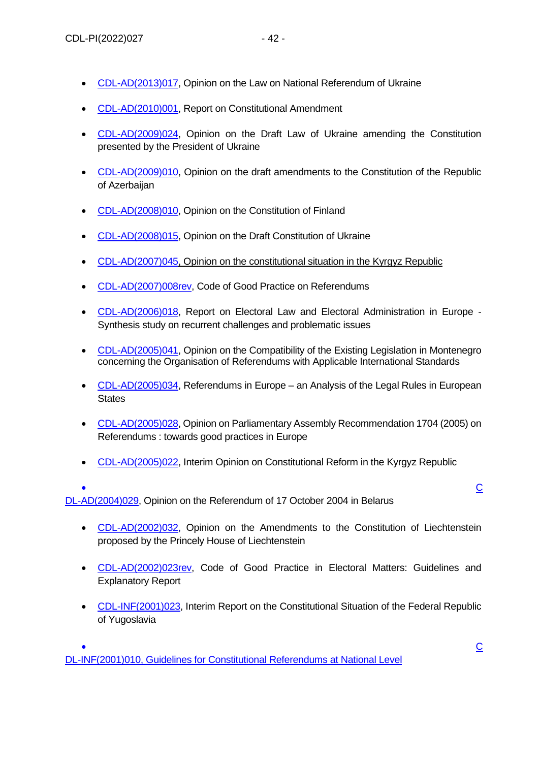- [CDL-AD\(2013\)017,](http://www.venice.coe.int/webforms/documents/?pdf=CDL-AD(2013)017-e) Opinion on the Law on National Referendum of Ukraine
- [CDL-AD\(2010\)001,](http://www.venice.coe.int/webforms/documents/?pdf=CDL-AD(2010)001-e) Report on Constitutional Amendment
- [CDL-AD\(2009\)024,](http://www.venice.coe.int/webforms/documents/?pdf=CDL-AD(2009)024-e) Opinion on the Draft Law of Ukraine amending the Constitution presented by the President of Ukraine
- [CDL-AD\(2009\)010,](http://www.venice.coe.int/webforms/documents/?pdf=CDL-AD(2009)010-e) Opinion on the draft amendments to the Constitution of the Republic of Azerbaijan
- [CDL-AD\(2008\)010,](http://www.venice.coe.int/webforms/documents/?pdf=CDL-AD(2008)010-e) Opinion on the Constitution of Finland
- [CDL-AD\(2008\)015,](http://www.venice.coe.int/webforms/documents/default.aspx?pdffile=CDL-AD(2008)015-e) Opinion on the Draft Constitution of Ukraine
- [CDL-AD\(2007\)045,](http://www.venice.coe.int/webforms/documents/?pdf=CDL-AD(2007)045-e) Opinion on the constitutional situation in the Kyrgyz Republic
- [CDL-AD\(2007\)008rev,](http://www.venice.coe.int/webforms/documents/CDL-AD(2007)008rev.aspx) Code of Good Practice on Referendums
- [CDL-AD\(2006\)018,](http://www.venice.coe.int/webforms/documents/?pdf=CDL-AD(2006)018-e) Report on Electoral Law and Electoral Administration in Europe Synthesis study on recurrent challenges and problematic issues
- [CDL-AD\(2005\)041,](http://www.venice.coe.int/webforms/documents/CDL-AD(2005)041-e.aspx) Opinion on the Compatibility of the Existing Legislation in Montenegro concerning the Organisation of Referendums with Applicable International Standards
- [CDL-AD\(2005\)034,](http://www.venice.coe.int/webforms/documents/?pdf=CDL-AD(2005)034-e) Referendums in Europe an Analysis of the Legal Rules in European **States**
- [CDL-AD\(2005\)028,](http://www.venice.coe.int/webforms/documents/?pdf=CDL-AD(2005)028-e) Opinion on Parliamentary Assembly Recommendation 1704 (2005) on Referendums : towards good practices in Europe
- [CDL-AD\(2005\)022,](http://www.venice.coe.int/webforms/documents/default.aspx?pdffile=CDL-AD(2005)022-e) Interim Opinion on Constitutional Reform in the Kyrgyz Republic
- [C](http://www.venice.coe.int/webforms/documents/?pdf=CDL-AD(2004)029-e)onstantinople in the constant  $\mathbb{C}$  of  $\mathbb{C}$  . The constant  $\mathbb{C}$  of  $\mathbb{C}$  of  $\mathbb{C}$  of  $\mathbb{C}$  of  $\mathbb{C}$  of  $\mathbb{C}$  of  $\mathbb{C}$  of  $\mathbb{C}$  of  $\mathbb{C}$  of  $\mathbb{C}$  of  $\mathbb{C}$  of  $\mathbb{C}$  of  $\mathbb{C}$ [DL-AD\(2004\)029,](http://www.venice.coe.int/webforms/documents/?pdf=CDL-AD(2004)029-e) Opinion on the Referendum of 17 October 2004 in Belarus
	- [CDL-AD\(2002\)032,](http://www.venice.coe.int/webforms/documents/?pdf=CDL-AD(2002)032-e) Opinion on the Amendments to the Constitution of Liechtenstein proposed by the Princely House of Liechtenstein
	- CDL-AD[\(2002\)023rev,](http://www.venice.coe.int/webforms/documents/CDL-AD(2002)023rev-e.aspx) Code of Good Practice in Electoral Matters: Guidelines and Explanatory Report
	- [CDL-INF\(2001\)023,](http://www.venice.coe.int/webforms/documents/default.aspx?pdffile=CDL-INF(2001)023-e) Interim Report on the Constitutional Situation of the Federal Republic of Yugoslavia

• [C](http://www.venice.coe.int/webforms/documents/CDL-INF(2001)010-e.aspx)onstantinople in the constant  $\mathbb{C}$  of  $\mathbb{C}$  . The constant  $\mathbb{C}$  of  $\mathbb{C}$  of  $\mathbb{C}$  of  $\mathbb{C}$  of  $\mathbb{C}$  of  $\mathbb{C}$  of  $\mathbb{C}$  of  $\mathbb{C}$  of  $\mathbb{C}$  of  $\mathbb{C}$  of  $\mathbb{C}$  of  $\mathbb{C}$  of  $\mathbb{C}$ [DL-INF\(2001\)010,](http://www.venice.coe.int/webforms/documents/CDL-INF(2001)010-e.aspx) Guidelines for Constitutional Referendums at National Level